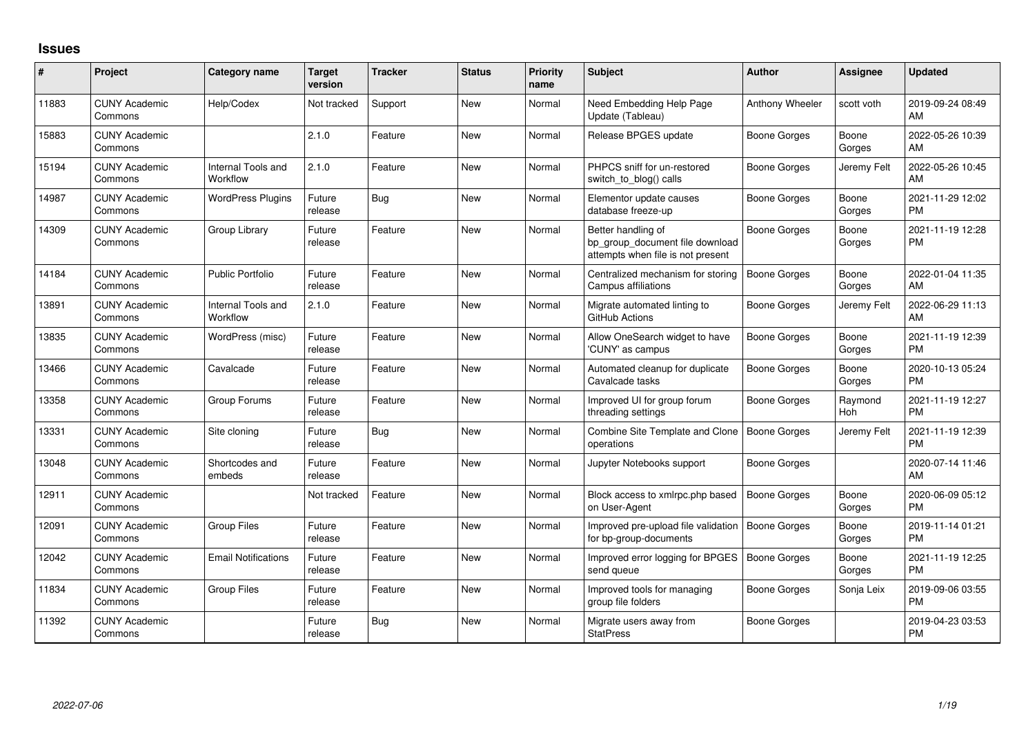## **Issues**

| $\#$  | Project                         | <b>Category name</b>           | <b>Target</b><br>version | <b>Tracker</b> | <b>Status</b> | <b>Priority</b><br>name | <b>Subject</b>                                                                             | <b>Author</b>       | <b>Assignee</b> | <b>Updated</b>                |
|-------|---------------------------------|--------------------------------|--------------------------|----------------|---------------|-------------------------|--------------------------------------------------------------------------------------------|---------------------|-----------------|-------------------------------|
| 11883 | <b>CUNY Academic</b><br>Commons | Help/Codex                     | Not tracked              | Support        | New           | Normal                  | Need Embedding Help Page<br>Update (Tableau)                                               | Anthony Wheeler     | scott voth      | 2019-09-24 08:49<br>AM        |
| 15883 | <b>CUNY Academic</b><br>Commons |                                | 2.1.0                    | Feature        | <b>New</b>    | Normal                  | Release BPGES update                                                                       | Boone Gorges        | Boone<br>Gorges | 2022-05-26 10:39<br>AM        |
| 15194 | <b>CUNY Academic</b><br>Commons | Internal Tools and<br>Workflow | 2.1.0                    | Feature        | <b>New</b>    | Normal                  | PHPCS sniff for un-restored<br>switch to blog() calls                                      | <b>Boone Gorges</b> | Jeremy Felt     | 2022-05-26 10:45<br>AM        |
| 14987 | <b>CUNY Academic</b><br>Commons | <b>WordPress Plugins</b>       | Future<br>release        | <b>Bug</b>     | New           | Normal                  | Elementor update causes<br>database freeze-up                                              | <b>Boone Gorges</b> | Boone<br>Gorges | 2021-11-29 12:02<br><b>PM</b> |
| 14309 | <b>CUNY Academic</b><br>Commons | Group Library                  | Future<br>release        | Feature        | <b>New</b>    | Normal                  | Better handling of<br>bp_group_document file download<br>attempts when file is not present | <b>Boone Gorges</b> | Boone<br>Gorges | 2021-11-19 12:28<br><b>PM</b> |
| 14184 | <b>CUNY Academic</b><br>Commons | <b>Public Portfolio</b>        | Future<br>release        | Feature        | <b>New</b>    | Normal                  | Centralized mechanism for storing<br>Campus affiliations                                   | <b>Boone Gorges</b> | Boone<br>Gorges | 2022-01-04 11:35<br>AM        |
| 13891 | <b>CUNY Academic</b><br>Commons | Internal Tools and<br>Workflow | 2.1.0                    | Feature        | <b>New</b>    | Normal                  | Migrate automated linting to<br>GitHub Actions                                             | <b>Boone Gorges</b> | Jeremy Felt     | 2022-06-29 11:13<br>AM        |
| 13835 | <b>CUNY Academic</b><br>Commons | WordPress (misc)               | Future<br>release        | Feature        | <b>New</b>    | Normal                  | Allow OneSearch widget to have<br>'CUNY' as campus                                         | <b>Boone Gorges</b> | Boone<br>Gorges | 2021-11-19 12:39<br><b>PM</b> |
| 13466 | <b>CUNY Academic</b><br>Commons | Cavalcade                      | Future<br>release        | Feature        | <b>New</b>    | Normal                  | Automated cleanup for duplicate<br>Cavalcade tasks                                         | <b>Boone Gorges</b> | Boone<br>Gorges | 2020-10-13 05:24<br><b>PM</b> |
| 13358 | <b>CUNY Academic</b><br>Commons | Group Forums                   | Future<br>release        | Feature        | New           | Normal                  | Improved UI for group forum<br>threading settings                                          | <b>Boone Gorges</b> | Raymond<br>Hoh  | 2021-11-19 12:27<br><b>PM</b> |
| 13331 | <b>CUNY Academic</b><br>Commons | Site cloning                   | Future<br>release        | <b>Bug</b>     | New           | Normal                  | Combine Site Template and Clone<br>operations                                              | <b>Boone Gorges</b> | Jeremy Felt     | 2021-11-19 12:39<br><b>PM</b> |
| 13048 | <b>CUNY Academic</b><br>Commons | Shortcodes and<br>embeds       | Future<br>release        | Feature        | <b>New</b>    | Normal                  | Jupyter Notebooks support                                                                  | <b>Boone Gorges</b> |                 | 2020-07-14 11:46<br>AM        |
| 12911 | <b>CUNY Academic</b><br>Commons |                                | Not tracked              | Feature        | <b>New</b>    | Normal                  | Block access to xmlrpc.php based<br>on User-Agent                                          | <b>Boone Gorges</b> | Boone<br>Gorges | 2020-06-09 05:12<br><b>PM</b> |
| 12091 | <b>CUNY Academic</b><br>Commons | <b>Group Files</b>             | Future<br>release        | Feature        | <b>New</b>    | Normal                  | Improved pre-upload file validation<br>for bp-group-documents                              | <b>Boone Gorges</b> | Boone<br>Gorges | 2019-11-14 01:21<br><b>PM</b> |
| 12042 | <b>CUNY Academic</b><br>Commons | <b>Email Notifications</b>     | Future<br>release        | Feature        | New           | Normal                  | Improved error logging for BPGES<br>send queue                                             | <b>Boone Gorges</b> | Boone<br>Gorges | 2021-11-19 12:25<br><b>PM</b> |
| 11834 | <b>CUNY Academic</b><br>Commons | <b>Group Files</b>             | Future<br>release        | Feature        | <b>New</b>    | Normal                  | Improved tools for managing<br>group file folders                                          | Boone Gorges        | Sonja Leix      | 2019-09-06 03:55<br><b>PM</b> |
| 11392 | <b>CUNY Academic</b><br>Commons |                                | Future<br>release        | <b>Bug</b>     | New           | Normal                  | Migrate users away from<br><b>StatPress</b>                                                | Boone Gorges        |                 | 2019-04-23 03:53<br><b>PM</b> |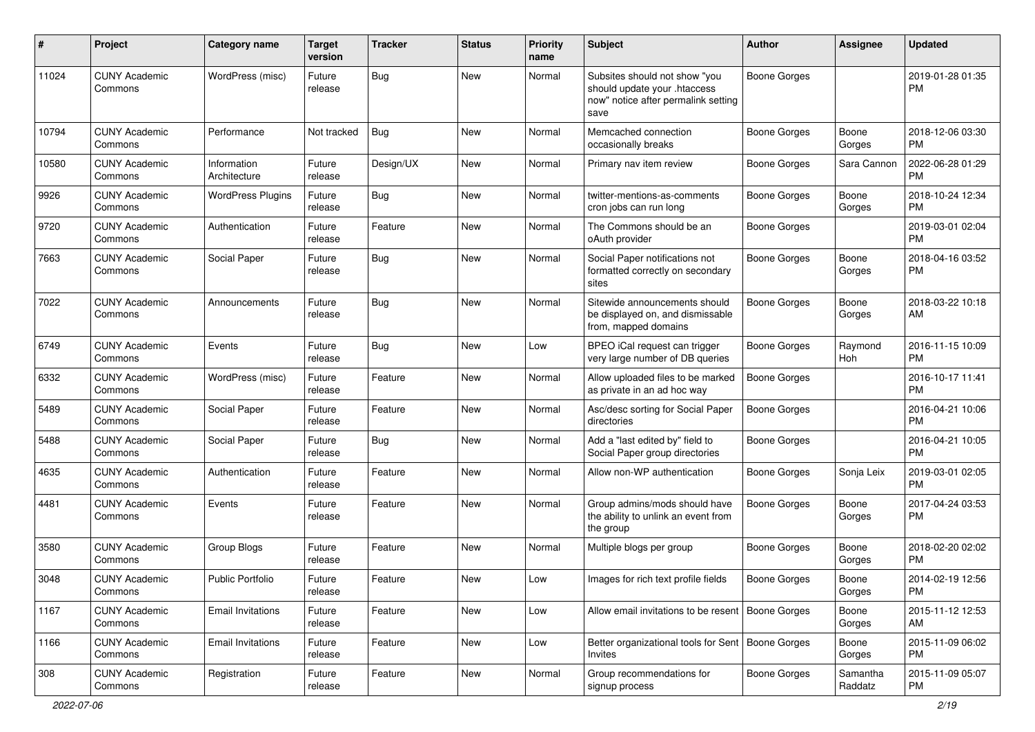| #     | Project                         | <b>Category name</b>        | <b>Target</b><br>version | <b>Tracker</b> | <b>Status</b> | Priority<br>name | <b>Subject</b>                                                                                               | Author              | <b>Assignee</b>     | <b>Updated</b>                |
|-------|---------------------------------|-----------------------------|--------------------------|----------------|---------------|------------------|--------------------------------------------------------------------------------------------------------------|---------------------|---------------------|-------------------------------|
| 11024 | <b>CUNY Academic</b><br>Commons | WordPress (misc)            | Future<br>release        | <b>Bug</b>     | New           | Normal           | Subsites should not show "you<br>should update your .htaccess<br>now" notice after permalink setting<br>save | <b>Boone Gorges</b> |                     | 2019-01-28 01:35<br>PM.       |
| 10794 | <b>CUNY Academic</b><br>Commons | Performance                 | Not tracked              | Bug            | New           | Normal           | Memcached connection<br>occasionally breaks                                                                  | Boone Gorges        | Boone<br>Gorges     | 2018-12-06 03:30<br><b>PM</b> |
| 10580 | <b>CUNY Academic</b><br>Commons | Information<br>Architecture | Future<br>release        | Design/UX      | New           | Normal           | Primary nav item review                                                                                      | Boone Gorges        | Sara Cannon         | 2022-06-28 01:29<br><b>PM</b> |
| 9926  | <b>CUNY Academic</b><br>Commons | <b>WordPress Plugins</b>    | Future<br>release        | Bug            | New           | Normal           | twitter-mentions-as-comments<br>cron jobs can run long                                                       | Boone Gorges        | Boone<br>Gorges     | 2018-10-24 12:34<br><b>PM</b> |
| 9720  | <b>CUNY Academic</b><br>Commons | Authentication              | Future<br>release        | Feature        | New           | Normal           | The Commons should be an<br>oAuth provider                                                                   | <b>Boone Gorges</b> |                     | 2019-03-01 02:04<br><b>PM</b> |
| 7663  | <b>CUNY Academic</b><br>Commons | Social Paper                | Future<br>release        | Bug            | <b>New</b>    | Normal           | Social Paper notifications not<br>formatted correctly on secondary<br>sites                                  | Boone Gorges        | Boone<br>Gorges     | 2018-04-16 03:52<br>PM        |
| 7022  | <b>CUNY Academic</b><br>Commons | Announcements               | Future<br>release        | Bug            | <b>New</b>    | Normal           | Sitewide announcements should<br>be displayed on, and dismissable<br>from, mapped domains                    | Boone Gorges        | Boone<br>Gorges     | 2018-03-22 10:18<br>AM        |
| 6749  | <b>CUNY Academic</b><br>Commons | Events                      | Future<br>release        | Bug            | <b>New</b>    | Low              | BPEO iCal request can trigger<br>very large number of DB queries                                             | Boone Gorges        | Raymond<br>Hoh      | 2016-11-15 10:09<br><b>PM</b> |
| 6332  | <b>CUNY Academic</b><br>Commons | WordPress (misc)            | Future<br>release        | Feature        | New           | Normal           | Allow uploaded files to be marked<br>as private in an ad hoc way                                             | Boone Gorges        |                     | 2016-10-17 11:41<br><b>PM</b> |
| 5489  | <b>CUNY Academic</b><br>Commons | Social Paper                | Future<br>release        | Feature        | New           | Normal           | Asc/desc sorting for Social Paper<br>directories                                                             | <b>Boone Gorges</b> |                     | 2016-04-21 10:06<br><b>PM</b> |
| 5488  | <b>CUNY Academic</b><br>Commons | Social Paper                | Future<br>release        | <b>Bug</b>     | New           | Normal           | Add a "last edited by" field to<br>Social Paper group directories                                            | Boone Gorges        |                     | 2016-04-21 10:05<br><b>PM</b> |
| 4635  | <b>CUNY Academic</b><br>Commons | Authentication              | Future<br>release        | Feature        | New           | Normal           | Allow non-WP authentication                                                                                  | Boone Gorges        | Sonja Leix          | 2019-03-01 02:05<br><b>PM</b> |
| 4481  | <b>CUNY Academic</b><br>Commons | Events                      | Future<br>release        | Feature        | New           | Normal           | Group admins/mods should have<br>the ability to unlink an event from<br>the group                            | <b>Boone Gorges</b> | Boone<br>Gorges     | 2017-04-24 03:53<br><b>PM</b> |
| 3580  | <b>CUNY Academic</b><br>Commons | Group Blogs                 | Future<br>release        | Feature        | New           | Normal           | Multiple blogs per group                                                                                     | Boone Gorges        | Boone<br>Gorges     | 2018-02-20 02:02<br>PM.       |
| 3048  | <b>CUNY Academic</b><br>Commons | <b>Public Portfolio</b>     | Future<br>release        | Feature        | New           | Low              | Images for rich text profile fields                                                                          | <b>Boone Gorges</b> | Boone<br>Gorges     | 2014-02-19 12:56<br><b>PM</b> |
| 1167  | <b>CUNY Academic</b><br>Commons | <b>Email Invitations</b>    | Future<br>release        | Feature        | New           | Low              | Allow email invitations to be resent                                                                         | Boone Gorges        | Boone<br>Gorges     | 2015-11-12 12:53<br>AM        |
| 1166  | <b>CUNY Academic</b><br>Commons | <b>Email Invitations</b>    | Future<br>release        | Feature        | <b>New</b>    | Low              | Better organizational tools for Sent   Boone Gorges<br>Invites                                               |                     | Boone<br>Gorges     | 2015-11-09 06:02<br><b>PM</b> |
| 308   | <b>CUNY Academic</b><br>Commons | Registration                | Future<br>release        | Feature        | New           | Normal           | Group recommendations for<br>signup process                                                                  | Boone Gorges        | Samantha<br>Raddatz | 2015-11-09 05:07<br><b>PM</b> |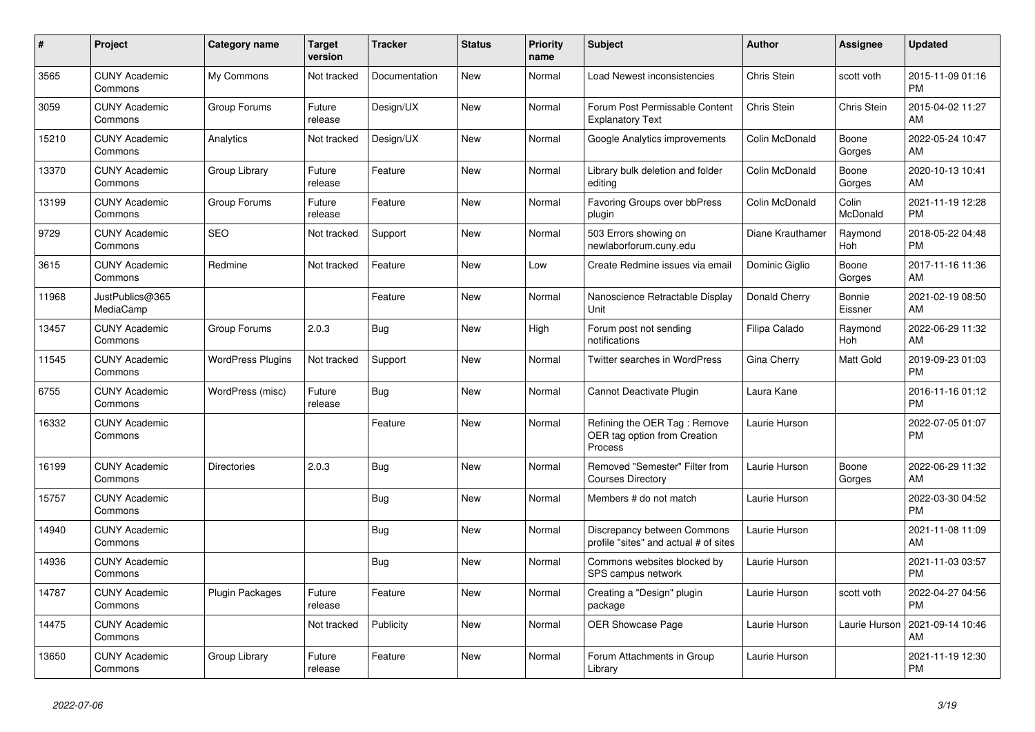| $\#$  | Project                         | <b>Category name</b>     | <b>Target</b><br>version | <b>Tracker</b> | <b>Status</b> | <b>Priority</b><br>name | <b>Subject</b>                                                          | <b>Author</b>    | Assignee          | <b>Updated</b>                |
|-------|---------------------------------|--------------------------|--------------------------|----------------|---------------|-------------------------|-------------------------------------------------------------------------|------------------|-------------------|-------------------------------|
| 3565  | <b>CUNY Academic</b><br>Commons | My Commons               | Not tracked              | Documentation  | <b>New</b>    | Normal                  | Load Newest inconsistencies                                             | Chris Stein      | scott voth        | 2015-11-09 01:16<br><b>PM</b> |
| 3059  | <b>CUNY Academic</b><br>Commons | Group Forums             | Future<br>release        | Design/UX      | New           | Normal                  | Forum Post Permissable Content<br><b>Explanatory Text</b>               | Chris Stein      | Chris Stein       | 2015-04-02 11:27<br>AM        |
| 15210 | <b>CUNY Academic</b><br>Commons | Analytics                | Not tracked              | Design/UX      | <b>New</b>    | Normal                  | Google Analytics improvements                                           | Colin McDonald   | Boone<br>Gorges   | 2022-05-24 10:47<br>AM        |
| 13370 | <b>CUNY Academic</b><br>Commons | Group Library            | Future<br>release        | Feature        | <b>New</b>    | Normal                  | Library bulk deletion and folder<br>editing                             | Colin McDonald   | Boone<br>Gorges   | 2020-10-13 10:41<br>AM        |
| 13199 | <b>CUNY Academic</b><br>Commons | Group Forums             | Future<br>release        | Feature        | New           | Normal                  | Favoring Groups over bbPress<br>plugin                                  | Colin McDonald   | Colin<br>McDonald | 2021-11-19 12:28<br><b>PM</b> |
| 9729  | <b>CUNY Academic</b><br>Commons | <b>SEO</b>               | Not tracked              | Support        | New           | Normal                  | 503 Errors showing on<br>newlaborforum.cuny.edu                         | Diane Krauthamer | Raymond<br>Hoh    | 2018-05-22 04:48<br><b>PM</b> |
| 3615  | <b>CUNY Academic</b><br>Commons | Redmine                  | Not tracked              | Feature        | <b>New</b>    | Low                     | Create Redmine issues via email                                         | Dominic Giglio   | Boone<br>Gorges   | 2017-11-16 11:36<br>AM        |
| 11968 | JustPublics@365<br>MediaCamp    |                          |                          | Feature        | <b>New</b>    | Normal                  | Nanoscience Retractable Display<br>Unit                                 | Donald Cherry    | Bonnie<br>Eissner | 2021-02-19 08:50<br>AM        |
| 13457 | <b>CUNY Academic</b><br>Commons | Group Forums             | 2.0.3                    | Bug            | New           | High                    | Forum post not sending<br>notifications                                 | Filipa Calado    | Raymond<br>Hoh    | 2022-06-29 11:32<br>AM        |
| 11545 | <b>CUNY Academic</b><br>Commons | <b>WordPress Plugins</b> | Not tracked              | Support        | New           | Normal                  | <b>Twitter searches in WordPress</b>                                    | Gina Cherry      | Matt Gold         | 2019-09-23 01:03<br><b>PM</b> |
| 6755  | <b>CUNY Academic</b><br>Commons | WordPress (misc)         | Future<br>release        | Bug            | <b>New</b>    | Normal                  | Cannot Deactivate Plugin                                                | Laura Kane       |                   | 2016-11-16 01:12<br><b>PM</b> |
| 16332 | <b>CUNY Academic</b><br>Commons |                          |                          | Feature        | New           | Normal                  | Refining the OER Tag: Remove<br>OER tag option from Creation<br>Process | Laurie Hurson    |                   | 2022-07-05 01:07<br><b>PM</b> |
| 16199 | <b>CUNY Academic</b><br>Commons | Directories              | 2.0.3                    | <b>Bug</b>     | <b>New</b>    | Normal                  | Removed "Semester" Filter from<br><b>Courses Directory</b>              | Laurie Hurson    | Boone<br>Gorges   | 2022-06-29 11:32<br>AM        |
| 15757 | <b>CUNY Academic</b><br>Commons |                          |                          | Bug            | <b>New</b>    | Normal                  | Members # do not match                                                  | Laurie Hurson    |                   | 2022-03-30 04:52<br><b>PM</b> |
| 14940 | <b>CUNY Academic</b><br>Commons |                          |                          | Bug            | New           | Normal                  | Discrepancy between Commons<br>profile "sites" and actual # of sites    | Laurie Hurson    |                   | 2021-11-08 11:09<br>AM        |
| 14936 | <b>CUNY Academic</b><br>Commons |                          |                          | <b>Bug</b>     | <b>New</b>    | Normal                  | Commons websites blocked by<br>SPS campus network                       | Laurie Hurson    |                   | 2021-11-03 03:57<br><b>PM</b> |
| 14787 | <b>CUNY Academic</b><br>Commons | <b>Plugin Packages</b>   | Future<br>release        | Feature        | <b>New</b>    | Normal                  | Creating a "Design" plugin<br>package                                   | Laurie Hurson    | scott voth        | 2022-04-27 04:56<br><b>PM</b> |
| 14475 | <b>CUNY Academic</b><br>Commons |                          | Not tracked              | Publicity      | New           | Normal                  | <b>OER Showcase Page</b>                                                | Laurie Hurson    | Laurie Hurson     | 2021-09-14 10:46<br>AM        |
| 13650 | <b>CUNY Academic</b><br>Commons | Group Library            | Future<br>release        | Feature        | New           | Normal                  | Forum Attachments in Group<br>Library                                   | Laurie Hurson    |                   | 2021-11-19 12:30<br><b>PM</b> |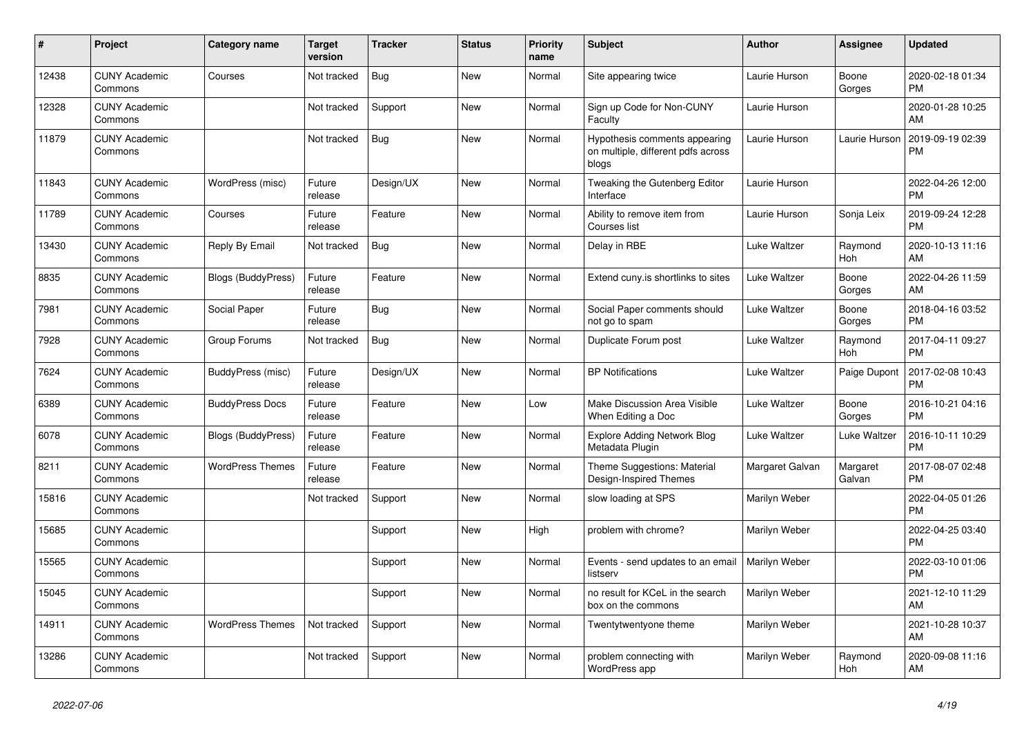| #     | <b>Project</b>                  | Category name             | <b>Target</b><br>version | <b>Tracker</b> | <b>Status</b> | Priority<br>name | <b>Subject</b>                                                               | <b>Author</b>   | Assignee           | <b>Updated</b>                |
|-------|---------------------------------|---------------------------|--------------------------|----------------|---------------|------------------|------------------------------------------------------------------------------|-----------------|--------------------|-------------------------------|
| 12438 | <b>CUNY Academic</b><br>Commons | Courses                   | Not tracked              | <b>Bug</b>     | New           | Normal           | Site appearing twice                                                         | Laurie Hurson   | Boone<br>Gorges    | 2020-02-18 01:34<br><b>PM</b> |
| 12328 | <b>CUNY Academic</b><br>Commons |                           | Not tracked              | Support        | New           | Normal           | Sign up Code for Non-CUNY<br>Faculty                                         | Laurie Hurson   |                    | 2020-01-28 10:25<br>AM        |
| 11879 | <b>CUNY Academic</b><br>Commons |                           | Not tracked              | Bug            | <b>New</b>    | Normal           | Hypothesis comments appearing<br>on multiple, different pdfs across<br>blogs | Laurie Hurson   | Laurie Hurson      | 2019-09-19 02:39<br><b>PM</b> |
| 11843 | <b>CUNY Academic</b><br>Commons | WordPress (misc)          | Future<br>release        | Design/UX      | <b>New</b>    | Normal           | Tweaking the Gutenberg Editor<br>Interface                                   | Laurie Hurson   |                    | 2022-04-26 12:00<br><b>PM</b> |
| 11789 | <b>CUNY Academic</b><br>Commons | Courses                   | Future<br>release        | Feature        | New           | Normal           | Ability to remove item from<br>Courses list                                  | Laurie Hurson   | Sonja Leix         | 2019-09-24 12:28<br><b>PM</b> |
| 13430 | <b>CUNY Academic</b><br>Commons | Reply By Email            | Not tracked              | Bug            | <b>New</b>    | Normal           | Delay in RBE                                                                 | Luke Waltzer    | Raymond<br>Hoh     | 2020-10-13 11:16<br>AM        |
| 8835  | <b>CUNY Academic</b><br>Commons | Blogs (BuddyPress)        | Future<br>release        | Feature        | <b>New</b>    | Normal           | Extend cuny.is shortlinks to sites                                           | Luke Waltzer    | Boone<br>Gorges    | 2022-04-26 11:59<br>AM        |
| 7981  | <b>CUNY Academic</b><br>Commons | Social Paper              | Future<br>release        | Bug            | New           | Normal           | Social Paper comments should<br>not go to spam                               | Luke Waltzer    | Boone<br>Gorges    | 2018-04-16 03:52<br><b>PM</b> |
| 7928  | <b>CUNY Academic</b><br>Commons | Group Forums              | Not tracked              | <b>Bug</b>     | New           | Normal           | Duplicate Forum post                                                         | Luke Waltzer    | Raymond<br>Hoh     | 2017-04-11 09:27<br><b>PM</b> |
| 7624  | <b>CUNY Academic</b><br>Commons | BuddyPress (misc)         | Future<br>release        | Design/UX      | <b>New</b>    | Normal           | <b>BP Notifications</b>                                                      | Luke Waltzer    | Paige Dupont       | 2017-02-08 10:43<br><b>PM</b> |
| 6389  | <b>CUNY Academic</b><br>Commons | <b>BuddyPress Docs</b>    | Future<br>release        | Feature        | <b>New</b>    | Low              | Make Discussion Area Visible<br>When Editing a Doc                           | Luke Waltzer    | Boone<br>Gorges    | 2016-10-21 04:16<br><b>PM</b> |
| 6078  | <b>CUNY Academic</b><br>Commons | <b>Blogs (BuddyPress)</b> | Future<br>release        | Feature        | New           | Normal           | <b>Explore Adding Network Blog</b><br>Metadata Plugin                        | Luke Waltzer    | Luke Waltzer       | 2016-10-11 10:29<br><b>PM</b> |
| 8211  | <b>CUNY Academic</b><br>Commons | <b>WordPress Themes</b>   | Future<br>release        | Feature        | <b>New</b>    | Normal           | Theme Suggestions: Material<br>Design-Inspired Themes                        | Margaret Galvan | Margaret<br>Galvan | 2017-08-07 02:48<br><b>PM</b> |
| 15816 | <b>CUNY Academic</b><br>Commons |                           | Not tracked              | Support        | New           | Normal           | slow loading at SPS                                                          | Marilyn Weber   |                    | 2022-04-05 01:26<br><b>PM</b> |
| 15685 | <b>CUNY Academic</b><br>Commons |                           |                          | Support        | <b>New</b>    | High             | problem with chrome?                                                         | Marilyn Weber   |                    | 2022-04-25 03:40<br><b>PM</b> |
| 15565 | <b>CUNY Academic</b><br>Commons |                           |                          | Support        | <b>New</b>    | Normal           | Events - send updates to an email<br>listserv                                | Marilyn Weber   |                    | 2022-03-10 01:06<br><b>PM</b> |
| 15045 | <b>CUNY Academic</b><br>Commons |                           |                          | Support        | <b>New</b>    | Normal           | no result for KCeL in the search<br>box on the commons                       | Marilyn Weber   |                    | 2021-12-10 11:29<br>AM        |
| 14911 | <b>CUNY Academic</b><br>Commons | <b>WordPress Themes</b>   | Not tracked              | Support        | New           | Normal           | Twentytwentyone theme                                                        | Marilyn Weber   |                    | 2021-10-28 10:37<br>AM        |
| 13286 | <b>CUNY Academic</b><br>Commons |                           | Not tracked              | Support        | <b>New</b>    | Normal           | problem connecting with<br>WordPress app                                     | Marilyn Weber   | Raymond<br>Hoh     | 2020-09-08 11:16<br>AM        |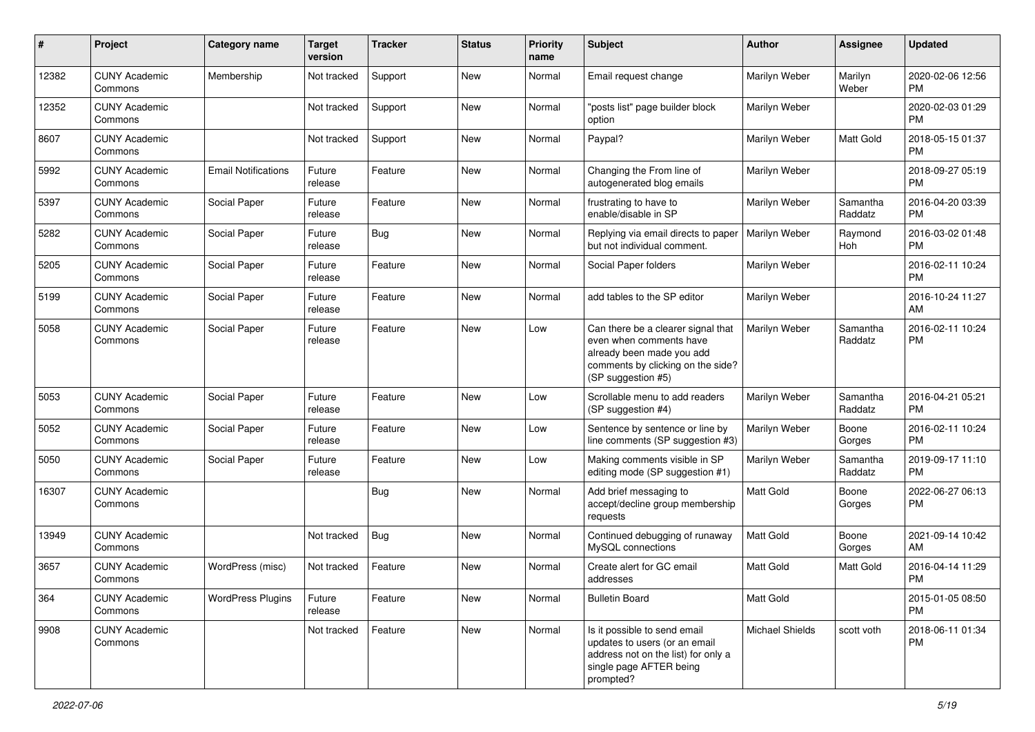| #     | Project                         | <b>Category name</b>       | <b>Target</b><br>version | <b>Tracker</b> | <b>Status</b> | <b>Priority</b><br>name | <b>Subject</b>                                                                                                                                        | Author                 | <b>Assignee</b>     | <b>Updated</b>                |
|-------|---------------------------------|----------------------------|--------------------------|----------------|---------------|-------------------------|-------------------------------------------------------------------------------------------------------------------------------------------------------|------------------------|---------------------|-------------------------------|
| 12382 | <b>CUNY Academic</b><br>Commons | Membership                 | Not tracked              | Support        | <b>New</b>    | Normal                  | Email request change                                                                                                                                  | Marilyn Weber          | Marilyn<br>Weber    | 2020-02-06 12:56<br><b>PM</b> |
| 12352 | <b>CUNY Academic</b><br>Commons |                            | Not tracked              | Support        | New           | Normal                  | "posts list" page builder block<br>option                                                                                                             | Marilyn Weber          |                     | 2020-02-03 01:29<br><b>PM</b> |
| 8607  | <b>CUNY Academic</b><br>Commons |                            | Not tracked              | Support        | New           | Normal                  | Paypal?                                                                                                                                               | Marilyn Weber          | Matt Gold           | 2018-05-15 01:37<br><b>PM</b> |
| 5992  | <b>CUNY Academic</b><br>Commons | <b>Email Notifications</b> | Future<br>release        | Feature        | New           | Normal                  | Changing the From line of<br>autogenerated blog emails                                                                                                | <b>Marilyn Weber</b>   |                     | 2018-09-27 05:19<br><b>PM</b> |
| 5397  | <b>CUNY Academic</b><br>Commons | Social Paper               | Future<br>release        | Feature        | New           | Normal                  | frustrating to have to<br>enable/disable in SP                                                                                                        | Marilyn Weber          | Samantha<br>Raddatz | 2016-04-20 03:39<br><b>PM</b> |
| 5282  | <b>CUNY Academic</b><br>Commons | Social Paper               | Future<br>release        | <b>Bug</b>     | New           | Normal                  | Replying via email directs to paper<br>but not individual comment.                                                                                    | Marilyn Weber          | Raymond<br>Hoh      | 2016-03-02 01:48<br><b>PM</b> |
| 5205  | <b>CUNY Academic</b><br>Commons | Social Paper               | Future<br>release        | Feature        | New           | Normal                  | Social Paper folders                                                                                                                                  | Marilyn Weber          |                     | 2016-02-11 10:24<br><b>PM</b> |
| 5199  | <b>CUNY Academic</b><br>Commons | Social Paper               | Future<br>release        | Feature        | <b>New</b>    | Normal                  | add tables to the SP editor                                                                                                                           | Marilyn Weber          |                     | 2016-10-24 11:27<br>AM        |
| 5058  | <b>CUNY Academic</b><br>Commons | Social Paper               | Future<br>release        | Feature        | New           | Low                     | Can there be a clearer signal that<br>even when comments have<br>already been made you add<br>comments by clicking on the side?<br>(SP suggestion #5) | Marilyn Weber          | Samantha<br>Raddatz | 2016-02-11 10:24<br><b>PM</b> |
| 5053  | <b>CUNY Academic</b><br>Commons | Social Paper               | Future<br>release        | Feature        | New           | Low                     | Scrollable menu to add readers<br>(SP suggestion #4)                                                                                                  | Marilyn Weber          | Samantha<br>Raddatz | 2016-04-21 05:21<br><b>PM</b> |
| 5052  | <b>CUNY Academic</b><br>Commons | Social Paper               | Future<br>release        | Feature        | New           | Low                     | Sentence by sentence or line by<br>line comments (SP suggestion #3)                                                                                   | Marilyn Weber          | Boone<br>Gorges     | 2016-02-11 10:24<br><b>PM</b> |
| 5050  | <b>CUNY Academic</b><br>Commons | Social Paper               | Future<br>release        | Feature        | New           | Low                     | Making comments visible in SP<br>editing mode (SP suggestion #1)                                                                                      | Marilyn Weber          | Samantha<br>Raddatz | 2019-09-17 11:10<br><b>PM</b> |
| 16307 | <b>CUNY Academic</b><br>Commons |                            |                          | Bug            | New           | Normal                  | Add brief messaging to<br>accept/decline group membership<br>requests                                                                                 | <b>Matt Gold</b>       | Boone<br>Gorges     | 2022-06-27 06:13<br><b>PM</b> |
| 13949 | <b>CUNY Academic</b><br>Commons |                            | Not tracked              | <b>Bug</b>     | New           | Normal                  | Continued debugging of runaway<br>MySQL connections                                                                                                   | <b>Matt Gold</b>       | Boone<br>Gorges     | 2021-09-14 10:42<br>AM        |
| 3657  | <b>CUNY Academic</b><br>Commons | WordPress (misc)           | Not tracked              | Feature        | New           | Normal                  | Create alert for GC email<br>addresses                                                                                                                | <b>Matt Gold</b>       | Matt Gold           | 2016-04-14 11:29<br><b>PM</b> |
| 364   | <b>CUNY Academic</b><br>Commons | <b>WordPress Plugins</b>   | Future<br>release        | Feature        | New           | Normal                  | <b>Bulletin Board</b>                                                                                                                                 | Matt Gold              |                     | 2015-01-05 08:50<br><b>PM</b> |
| 9908  | <b>CUNY Academic</b><br>Commons |                            | Not tracked              | Feature        | New           | Normal                  | Is it possible to send email<br>updates to users (or an email<br>address not on the list) for only a<br>single page AFTER being<br>prompted?          | <b>Michael Shields</b> | scott voth          | 2018-06-11 01:34<br>PM        |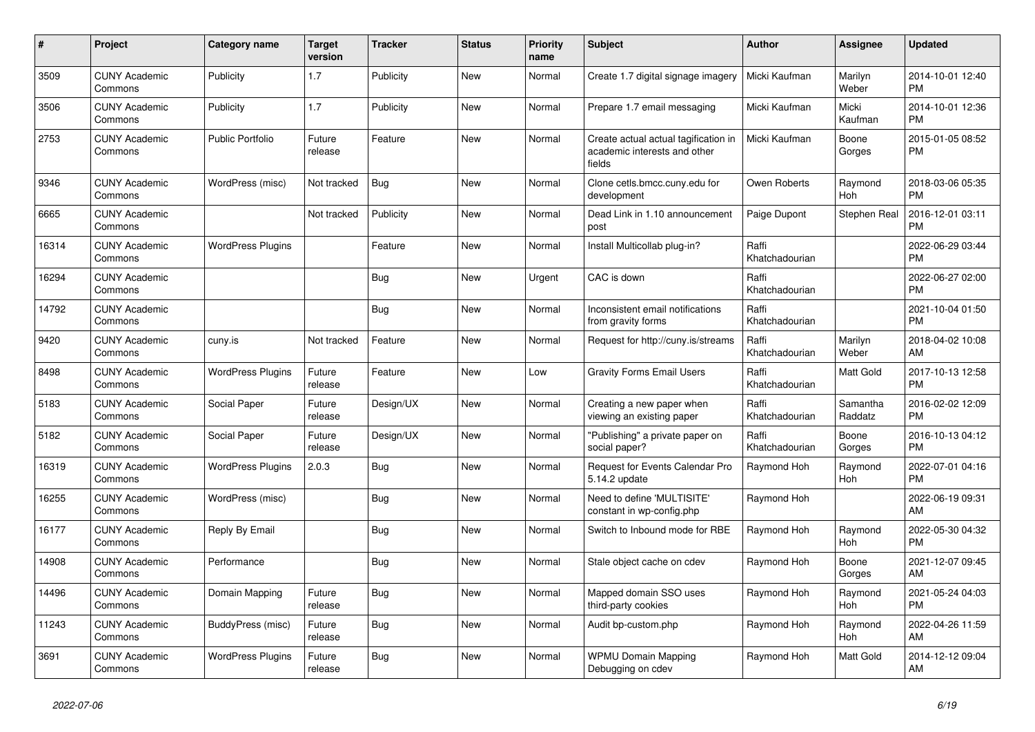| #     | Project                         | <b>Category name</b>     | Target<br>version | <b>Tracker</b> | <b>Status</b> | <b>Priority</b><br>name | <b>Subject</b>                                                                 | <b>Author</b>           | Assignee            | <b>Updated</b>                |
|-------|---------------------------------|--------------------------|-------------------|----------------|---------------|-------------------------|--------------------------------------------------------------------------------|-------------------------|---------------------|-------------------------------|
| 3509  | <b>CUNY Academic</b><br>Commons | Publicity                | 1.7               | Publicity      | <b>New</b>    | Normal                  | Create 1.7 digital signage imagery                                             | Micki Kaufman           | Marilyn<br>Weber    | 2014-10-01 12:40<br><b>PM</b> |
| 3506  | <b>CUNY Academic</b><br>Commons | Publicity                | 1.7               | Publicity      | New           | Normal                  | Prepare 1.7 email messaging                                                    | Micki Kaufman           | Micki<br>Kaufman    | 2014-10-01 12:36<br><b>PM</b> |
| 2753  | <b>CUNY Academic</b><br>Commons | <b>Public Portfolio</b>  | Future<br>release | Feature        | New           | Normal                  | Create actual actual tagification in<br>academic interests and other<br>fields | Micki Kaufman           | Boone<br>Gorges     | 2015-01-05 08:52<br><b>PM</b> |
| 9346  | <b>CUNY Academic</b><br>Commons | WordPress (misc)         | Not tracked       | Bug            | New           | Normal                  | Clone cetls.bmcc.cuny.edu for<br>development                                   | Owen Roberts            | Raymond<br>Hoh      | 2018-03-06 05:35<br><b>PM</b> |
| 6665  | <b>CUNY Academic</b><br>Commons |                          | Not tracked       | Publicity      | New           | Normal                  | Dead Link in 1.10 announcement<br>post                                         | Paige Dupont            | Stephen Real        | 2016-12-01 03:11<br><b>PM</b> |
| 16314 | <b>CUNY Academic</b><br>Commons | <b>WordPress Plugins</b> |                   | Feature        | New           | Normal                  | Install Multicollab plug-in?                                                   | Raffi<br>Khatchadourian |                     | 2022-06-29 03:44<br><b>PM</b> |
| 16294 | <b>CUNY Academic</b><br>Commons |                          |                   | Bug            | <b>New</b>    | Urgent                  | CAC is down                                                                    | Raffi<br>Khatchadourian |                     | 2022-06-27 02:00<br><b>PM</b> |
| 14792 | <b>CUNY Academic</b><br>Commons |                          |                   | <b>Bug</b>     | <b>New</b>    | Normal                  | Inconsistent email notifications<br>from gravity forms                         | Raffi<br>Khatchadourian |                     | 2021-10-04 01:50<br><b>PM</b> |
| 9420  | <b>CUNY Academic</b><br>Commons | cuny.is                  | Not tracked       | Feature        | New           | Normal                  | Request for http://cuny.is/streams                                             | Raffi<br>Khatchadourian | Marilyn<br>Weber    | 2018-04-02 10:08<br>AM.       |
| 8498  | <b>CUNY Academic</b><br>Commons | <b>WordPress Plugins</b> | Future<br>release | Feature        | New           | Low                     | <b>Gravity Forms Email Users</b>                                               | Raffi<br>Khatchadourian | Matt Gold           | 2017-10-13 12:58<br><b>PM</b> |
| 5183  | <b>CUNY Academic</b><br>Commons | Social Paper             | Future<br>release | Design/UX      | <b>New</b>    | Normal                  | Creating a new paper when<br>viewing an existing paper                         | Raffi<br>Khatchadourian | Samantha<br>Raddatz | 2016-02-02 12:09<br><b>PM</b> |
| 5182  | <b>CUNY Academic</b><br>Commons | Social Paper             | Future<br>release | Design/UX      | New           | Normal                  | "Publishing" a private paper on<br>social paper?                               | Raffi<br>Khatchadourian | Boone<br>Gorges     | 2016-10-13 04:12<br><b>PM</b> |
| 16319 | <b>CUNY Academic</b><br>Commons | <b>WordPress Plugins</b> | 2.0.3             | Bug            | <b>New</b>    | Normal                  | <b>Request for Events Calendar Pro</b><br>5.14.2 update                        | Raymond Hoh             | Raymond<br>Hoh      | 2022-07-01 04:16<br><b>PM</b> |
| 16255 | <b>CUNY Academic</b><br>Commons | WordPress (misc)         |                   | <b>Bug</b>     | New           | Normal                  | Need to define 'MULTISITE'<br>constant in wp-config.php                        | Raymond Hoh             |                     | 2022-06-19 09:31<br>AM        |
| 16177 | <b>CUNY Academic</b><br>Commons | Reply By Email           |                   | <b>Bug</b>     | <b>New</b>    | Normal                  | Switch to Inbound mode for RBE                                                 | Raymond Hoh             | Raymond<br>Hoh      | 2022-05-30 04:32<br><b>PM</b> |
| 14908 | <b>CUNY Academic</b><br>Commons | Performance              |                   | Bug            | <b>New</b>    | Normal                  | Stale object cache on cdev                                                     | Raymond Hoh             | Boone<br>Gorges     | 2021-12-07 09:45<br>AM.       |
| 14496 | <b>CUNY Academic</b><br>Commons | Domain Mapping           | Future<br>release | Bug            | New           | Normal                  | Mapped domain SSO uses<br>third-party cookies                                  | Raymond Hoh             | Raymond<br>Hoh      | 2021-05-24 04:03<br><b>PM</b> |
| 11243 | <b>CUNY Academic</b><br>Commons | BuddyPress (misc)        | Future<br>release | <b>Bug</b>     | <b>New</b>    | Normal                  | Audit bp-custom.php                                                            | Raymond Hoh             | Raymond<br>Hoh      | 2022-04-26 11:59<br>AM        |
| 3691  | <b>CUNY Academic</b><br>Commons | <b>WordPress Plugins</b> | Future<br>release | <b>Bug</b>     | <b>New</b>    | Normal                  | <b>WPMU Domain Mapping</b><br>Debugging on cdev                                | Raymond Hoh             | Matt Gold           | 2014-12-12 09:04<br>AM        |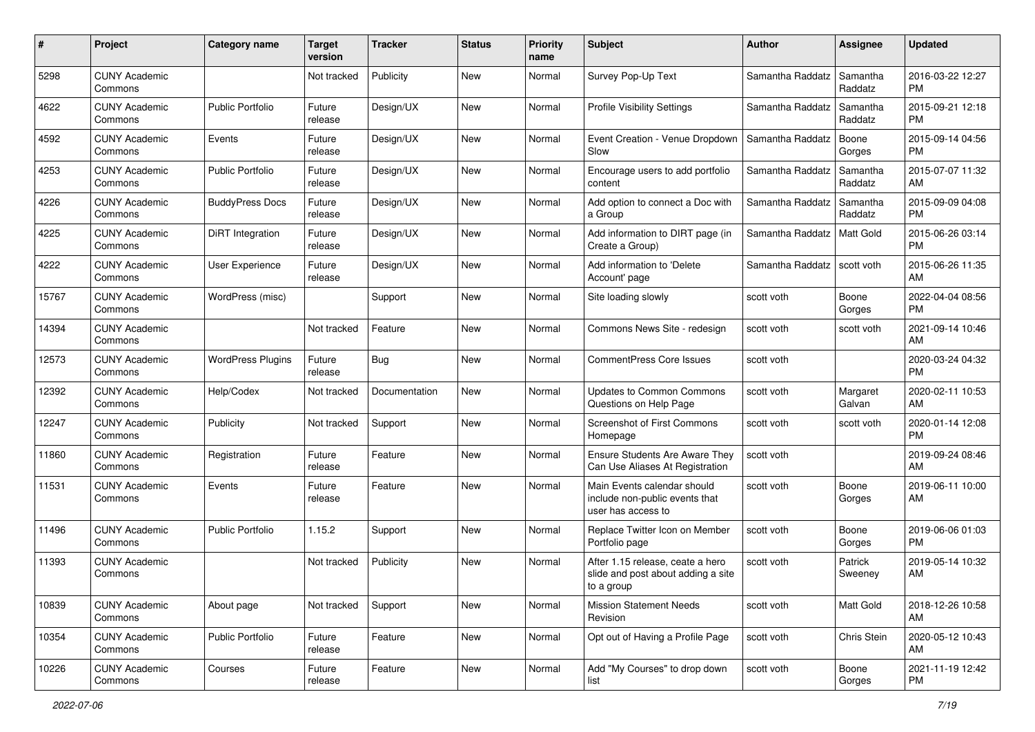| #     | Project                         | <b>Category name</b>     | <b>Target</b><br>version | <b>Tracker</b> | <b>Status</b> | <b>Priority</b><br>name | <b>Subject</b>                                                                       | <b>Author</b>    | <b>Assignee</b>     | <b>Updated</b>                |
|-------|---------------------------------|--------------------------|--------------------------|----------------|---------------|-------------------------|--------------------------------------------------------------------------------------|------------------|---------------------|-------------------------------|
| 5298  | <b>CUNY Academic</b><br>Commons |                          | Not tracked              | Publicity      | New           | Normal                  | Survey Pop-Up Text                                                                   | Samantha Raddatz | Samantha<br>Raddatz | 2016-03-22 12:27<br>PM.       |
| 4622  | <b>CUNY Academic</b><br>Commons | <b>Public Portfolio</b>  | Future<br>release        | Design/UX      | New           | Normal                  | <b>Profile Visibility Settings</b>                                                   | Samantha Raddatz | Samantha<br>Raddatz | 2015-09-21 12:18<br><b>PM</b> |
| 4592  | <b>CUNY Academic</b><br>Commons | Events                   | Future<br>release        | Design/UX      | New           | Normal                  | Event Creation - Venue Dropdown<br>Slow                                              | Samantha Raddatz | Boone<br>Gorges     | 2015-09-14 04:56<br><b>PM</b> |
| 4253  | <b>CUNY Academic</b><br>Commons | <b>Public Portfolio</b>  | Future<br>release        | Design/UX      | New           | Normal                  | Encourage users to add portfolio<br>content                                          | Samantha Raddatz | Samantha<br>Raddatz | 2015-07-07 11:32<br>AM        |
| 4226  | <b>CUNY Academic</b><br>Commons | <b>BuddyPress Docs</b>   | Future<br>release        | Design/UX      | New           | Normal                  | Add option to connect a Doc with<br>a Group                                          | Samantha Raddatz | Samantha<br>Raddatz | 2015-09-09 04:08<br><b>PM</b> |
| 4225  | <b>CUNY Academic</b><br>Commons | DiRT Integration         | Future<br>release        | Design/UX      | New           | Normal                  | Add information to DIRT page (in<br>Create a Group)                                  | Samantha Raddatz | <b>Matt Gold</b>    | 2015-06-26 03:14<br><b>PM</b> |
| 4222  | <b>CUNY Academic</b><br>Commons | User Experience          | Future<br>release        | Design/UX      | New           | Normal                  | Add information to 'Delete<br>Account' page                                          | Samantha Raddatz | scott voth          | 2015-06-26 11:35<br>AM        |
| 15767 | <b>CUNY Academic</b><br>Commons | WordPress (misc)         |                          | Support        | New           | Normal                  | Site loading slowly                                                                  | scott voth       | Boone<br>Gorges     | 2022-04-04 08:56<br>PM.       |
| 14394 | <b>CUNY Academic</b><br>Commons |                          | Not tracked              | Feature        | New           | Normal                  | Commons News Site - redesign                                                         | scott voth       | scott voth          | 2021-09-14 10:46<br>AM        |
| 12573 | <b>CUNY Academic</b><br>Commons | <b>WordPress Plugins</b> | Future<br>release        | Bug            | New           | Normal                  | <b>CommentPress Core Issues</b>                                                      | scott voth       |                     | 2020-03-24 04:32<br><b>PM</b> |
| 12392 | <b>CUNY Academic</b><br>Commons | Help/Codex               | Not tracked              | Documentation  | New           | Normal                  | Updates to Common Commons<br>Questions on Help Page                                  | scott voth       | Margaret<br>Galvan  | 2020-02-11 10:53<br>AM        |
| 12247 | <b>CUNY Academic</b><br>Commons | Publicity                | Not tracked              | Support        | New           | Normal                  | Screenshot of First Commons<br>Homepage                                              | scott voth       | scott voth          | 2020-01-14 12:08<br><b>PM</b> |
| 11860 | <b>CUNY Academic</b><br>Commons | Registration             | Future<br>release        | Feature        | New           | Normal                  | Ensure Students Are Aware They<br>Can Use Aliases At Registration                    | scott voth       |                     | 2019-09-24 08:46<br>AM        |
| 11531 | <b>CUNY Academic</b><br>Commons | Events                   | Future<br>release        | Feature        | New           | Normal                  | Main Events calendar should<br>include non-public events that<br>user has access to  | scott voth       | Boone<br>Gorges     | 2019-06-11 10:00<br>AM        |
| 11496 | <b>CUNY Academic</b><br>Commons | <b>Public Portfolio</b>  | 1.15.2                   | Support        | New           | Normal                  | Replace Twitter Icon on Member<br>Portfolio page                                     | scott voth       | Boone<br>Gorges     | 2019-06-06 01:03<br><b>PM</b> |
| 11393 | <b>CUNY Academic</b><br>Commons |                          | Not tracked              | Publicity      | New           | Normal                  | After 1.15 release, ceate a hero<br>slide and post about adding a site<br>to a group | scott voth       | Patrick<br>Sweeney  | 2019-05-14 10:32<br>AM        |
| 10839 | <b>CUNY Academic</b><br>Commons | About page               | Not tracked              | Support        | New           | Normal                  | <b>Mission Statement Needs</b><br>Revision                                           | scott voth       | Matt Gold           | 2018-12-26 10:58<br>AM        |
| 10354 | <b>CUNY Academic</b><br>Commons | Public Portfolio         | Future<br>release        | Feature        | New           | Normal                  | Opt out of Having a Profile Page                                                     | scott voth       | Chris Stein         | 2020-05-12 10:43<br>AM        |
| 10226 | <b>CUNY Academic</b><br>Commons | Courses                  | Future<br>release        | Feature        | New           | Normal                  | Add "My Courses" to drop down<br>list                                                | scott voth       | Boone<br>Gorges     | 2021-11-19 12:42<br><b>PM</b> |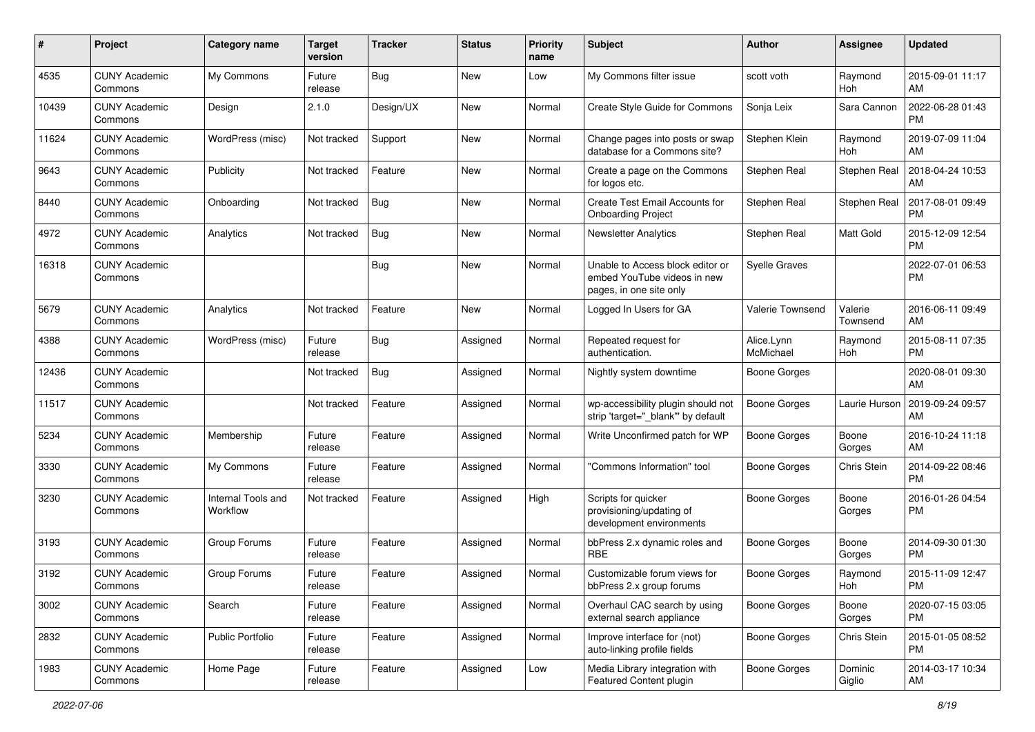| #     | Project                         | <b>Category name</b>           | <b>Target</b><br>version | <b>Tracker</b> | <b>Status</b> | <b>Priority</b><br>name | Subject                                                                                    | Author                  | <b>Assignee</b>     | <b>Updated</b>                |
|-------|---------------------------------|--------------------------------|--------------------------|----------------|---------------|-------------------------|--------------------------------------------------------------------------------------------|-------------------------|---------------------|-------------------------------|
| 4535  | <b>CUNY Academic</b><br>Commons | My Commons                     | Future<br>release        | Bug            | New           | Low                     | My Commons filter issue                                                                    | scott voth              | Raymond<br>Hoh      | 2015-09-01 11:17<br>AM        |
| 10439 | <b>CUNY Academic</b><br>Commons | Design                         | 2.1.0                    | Design/UX      | New           | Normal                  | Create Style Guide for Commons                                                             | Sonja Leix              | Sara Cannon         | 2022-06-28 01:43<br><b>PM</b> |
| 11624 | <b>CUNY Academic</b><br>Commons | WordPress (misc)               | Not tracked              | Support        | New           | Normal                  | Change pages into posts or swap<br>database for a Commons site?                            | Stephen Klein           | Raymond<br>Hoh      | 2019-07-09 11:04<br>AM        |
| 9643  | <b>CUNY Academic</b><br>Commons | Publicity                      | Not tracked              | Feature        | New           | Normal                  | Create a page on the Commons<br>for logos etc.                                             | Stephen Real            | Stephen Real        | 2018-04-24 10:53<br>AM        |
| 8440  | <b>CUNY Academic</b><br>Commons | Onboarding                     | Not tracked              | Bug            | New           | Normal                  | Create Test Email Accounts for<br><b>Onboarding Project</b>                                | Stephen Real            | Stephen Real        | 2017-08-01 09:49<br><b>PM</b> |
| 4972  | <b>CUNY Academic</b><br>Commons | Analytics                      | Not tracked              | <b>Bug</b>     | New           | Normal                  | Newsletter Analytics                                                                       | Stephen Real            | Matt Gold           | 2015-12-09 12:54<br><b>PM</b> |
| 16318 | <b>CUNY Academic</b><br>Commons |                                |                          | Bug            | New           | Normal                  | Unable to Access block editor or<br>embed YouTube videos in new<br>pages, in one site only | <b>Syelle Graves</b>    |                     | 2022-07-01 06:53<br><b>PM</b> |
| 5679  | <b>CUNY Academic</b><br>Commons | Analytics                      | Not tracked              | Feature        | New           | Normal                  | Logged In Users for GA                                                                     | Valerie Townsend        | Valerie<br>Townsend | 2016-06-11 09:49<br>AM        |
| 4388  | <b>CUNY Academic</b><br>Commons | WordPress (misc)               | Future<br>release        | <b>Bug</b>     | Assigned      | Normal                  | Repeated request for<br>authentication.                                                    | Alice.Lynn<br>McMichael | Raymond<br>Hoh      | 2015-08-11 07:35<br><b>PM</b> |
| 12436 | <b>CUNY Academic</b><br>Commons |                                | Not tracked              | Bug            | Assigned      | Normal                  | Nightly system downtime                                                                    | <b>Boone Gorges</b>     |                     | 2020-08-01 09:30<br>AM        |
| 11517 | <b>CUNY Academic</b><br>Commons |                                | Not tracked              | Feature        | Assigned      | Normal                  | wp-accessibility plugin should not<br>strip 'target="_blank" by default                    | <b>Boone Gorges</b>     | Laurie Hurson       | 2019-09-24 09:57<br>AM        |
| 5234  | <b>CUNY Academic</b><br>Commons | Membership                     | Future<br>release        | Feature        | Assigned      | Normal                  | Write Unconfirmed patch for WP                                                             | <b>Boone Gorges</b>     | Boone<br>Gorges     | 2016-10-24 11:18<br>AM        |
| 3330  | <b>CUNY Academic</b><br>Commons | My Commons                     | Future<br>release        | Feature        | Assigned      | Normal                  | 'Commons Information" tool                                                                 | <b>Boone Gorges</b>     | Chris Stein         | 2014-09-22 08:46<br><b>PM</b> |
| 3230  | <b>CUNY Academic</b><br>Commons | Internal Tools and<br>Workflow | Not tracked              | Feature        | Assigned      | High                    | Scripts for quicker<br>provisioning/updating of<br>development environments                | <b>Boone Gorges</b>     | Boone<br>Gorges     | 2016-01-26 04:54<br><b>PM</b> |
| 3193  | <b>CUNY Academic</b><br>Commons | Group Forums                   | Future<br>release        | Feature        | Assigned      | Normal                  | bbPress 2.x dynamic roles and<br><b>RBE</b>                                                | <b>Boone Gorges</b>     | Boone<br>Gorges     | 2014-09-30 01:30<br><b>PM</b> |
| 3192  | <b>CUNY Academic</b><br>Commons | Group Forums                   | Future<br>release        | Feature        | Assigned      | Normal                  | Customizable forum views for<br>bbPress 2.x group forums                                   | <b>Boone Gorges</b>     | Raymond<br>Hoh      | 2015-11-09 12:47<br>PM        |
| 3002  | <b>CUNY Academic</b><br>Commons | Search                         | Future<br>release        | Feature        | Assigned      | Normal                  | Overhaul CAC search by using<br>external search appliance                                  | Boone Gorges            | Boone<br>Gorges     | 2020-07-15 03:05<br><b>PM</b> |
| 2832  | <b>CUNY Academic</b><br>Commons | <b>Public Portfolio</b>        | Future<br>release        | Feature        | Assigned      | Normal                  | Improve interface for (not)<br>auto-linking profile fields                                 | Boone Gorges            | Chris Stein         | 2015-01-05 08:52<br><b>PM</b> |
| 1983  | <b>CUNY Academic</b><br>Commons | Home Page                      | Future<br>release        | Feature        | Assigned      | Low                     | Media Library integration with<br>Featured Content plugin                                  | Boone Gorges            | Dominic<br>Giglio   | 2014-03-17 10:34<br>AM        |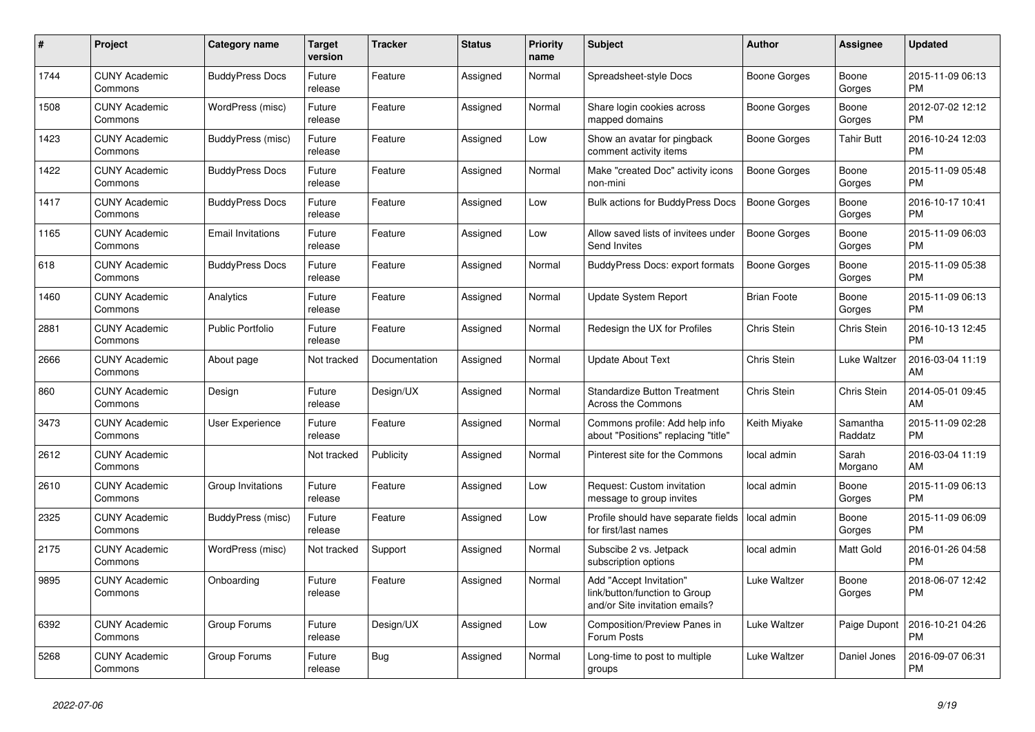| #    | <b>Project</b>                  | <b>Category name</b>     | <b>Target</b><br>version | <b>Tracker</b> | <b>Status</b> | Priority<br>name | <b>Subject</b>                                                                             | <b>Author</b>       | Assignee            | <b>Updated</b>                |
|------|---------------------------------|--------------------------|--------------------------|----------------|---------------|------------------|--------------------------------------------------------------------------------------------|---------------------|---------------------|-------------------------------|
| 1744 | <b>CUNY Academic</b><br>Commons | <b>BuddyPress Docs</b>   | Future<br>release        | Feature        | Assigned      | Normal           | Spreadsheet-style Docs                                                                     | Boone Gorges        | Boone<br>Gorges     | 2015-11-09 06:13<br><b>PM</b> |
| 1508 | <b>CUNY Academic</b><br>Commons | WordPress (misc)         | Future<br>release        | Feature        | Assigned      | Normal           | Share login cookies across<br>mapped domains                                               | Boone Gorges        | Boone<br>Gorges     | 2012-07-02 12:12<br><b>PM</b> |
| 1423 | <b>CUNY Academic</b><br>Commons | BuddyPress (misc)        | Future<br>release        | Feature        | Assigned      | Low              | Show an avatar for pingback<br>comment activity items                                      | Boone Gorges        | Tahir Butt          | 2016-10-24 12:03<br><b>PM</b> |
| 1422 | <b>CUNY Academic</b><br>Commons | <b>BuddyPress Docs</b>   | Future<br>release        | Feature        | Assigned      | Normal           | Make "created Doc" activity icons<br>non-mini                                              | <b>Boone Gorges</b> | Boone<br>Gorges     | 2015-11-09 05:48<br><b>PM</b> |
| 1417 | <b>CUNY Academic</b><br>Commons | <b>BuddyPress Docs</b>   | Future<br>release        | Feature        | Assigned      | Low              | <b>Bulk actions for BuddyPress Docs</b>                                                    | <b>Boone Gorges</b> | Boone<br>Gorges     | 2016-10-17 10:41<br><b>PM</b> |
| 1165 | <b>CUNY Academic</b><br>Commons | <b>Email Invitations</b> | Future<br>release        | Feature        | Assigned      | Low              | Allow saved lists of invitees under<br>Send Invites                                        | <b>Boone Gorges</b> | Boone<br>Gorges     | 2015-11-09 06:03<br><b>PM</b> |
| 618  | <b>CUNY Academic</b><br>Commons | <b>BuddyPress Docs</b>   | Future<br>release        | Feature        | Assigned      | Normal           | <b>BuddyPress Docs: export formats</b>                                                     | <b>Boone Gorges</b> | Boone<br>Gorges     | 2015-11-09 05:38<br><b>PM</b> |
| 1460 | <b>CUNY Academic</b><br>Commons | Analytics                | Future<br>release        | Feature        | Assigned      | Normal           | <b>Update System Report</b>                                                                | <b>Brian Foote</b>  | Boone<br>Gorges     | 2015-11-09 06:13<br><b>PM</b> |
| 2881 | <b>CUNY Academic</b><br>Commons | <b>Public Portfolio</b>  | Future<br>release        | Feature        | Assigned      | Normal           | Redesign the UX for Profiles                                                               | Chris Stein         | Chris Stein         | 2016-10-13 12:45<br><b>PM</b> |
| 2666 | <b>CUNY Academic</b><br>Commons | About page               | Not tracked              | Documentation  | Assigned      | Normal           | <b>Update About Text</b>                                                                   | Chris Stein         | Luke Waltzer        | 2016-03-04 11:19<br>AM        |
| 860  | <b>CUNY Academic</b><br>Commons | Design                   | Future<br>release        | Design/UX      | Assigned      | Normal           | <b>Standardize Button Treatment</b><br>Across the Commons                                  | Chris Stein         | Chris Stein         | 2014-05-01 09:45<br>AM        |
| 3473 | <b>CUNY Academic</b><br>Commons | User Experience          | Future<br>release        | Feature        | Assigned      | Normal           | Commons profile: Add help info<br>about "Positions" replacing "title"                      | Keith Miyake        | Samantha<br>Raddatz | 2015-11-09 02:28<br><b>PM</b> |
| 2612 | <b>CUNY Academic</b><br>Commons |                          | Not tracked              | Publicity      | Assigned      | Normal           | Pinterest site for the Commons                                                             | local admin         | Sarah<br>Morgano    | 2016-03-04 11:19<br>AM        |
| 2610 | <b>CUNY Academic</b><br>Commons | Group Invitations        | Future<br>release        | Feature        | Assigned      | Low              | Request: Custom invitation<br>message to group invites                                     | local admin         | Boone<br>Gorges     | 2015-11-09 06:13<br><b>PM</b> |
| 2325 | <b>CUNY Academic</b><br>Commons | BuddyPress (misc)        | Future<br>release        | Feature        | Assigned      | Low              | Profile should have separate fields<br>for first/last names                                | local admin         | Boone<br>Gorges     | 2015-11-09 06:09<br><b>PM</b> |
| 2175 | <b>CUNY Academic</b><br>Commons | WordPress (misc)         | Not tracked              | Support        | Assigned      | Normal           | Subscibe 2 vs. Jetpack<br>subscription options                                             | local admin         | Matt Gold           | 2016-01-26 04:58<br><b>PM</b> |
| 9895 | <b>CUNY Academic</b><br>Commons | Onboarding               | Future<br>release        | Feature        | Assigned      | Normal           | Add "Accept Invitation"<br>link/button/function to Group<br>and/or Site invitation emails? | <b>Luke Waltzer</b> | Boone<br>Gorges     | 2018-06-07 12:42<br><b>PM</b> |
| 6392 | <b>CUNY Academic</b><br>Commons | Group Forums             | Future<br>release        | Design/UX      | Assigned      | Low              | <b>Composition/Preview Panes in</b><br>Forum Posts                                         | Luke Waltzer        | Paige Dupont        | 2016-10-21 04:26<br><b>PM</b> |
| 5268 | <b>CUNY Academic</b><br>Commons | Group Forums             | Future<br>release        | <b>Bug</b>     | Assigned      | Normal           | Long-time to post to multiple<br>groups                                                    | Luke Waltzer        | Daniel Jones        | 2016-09-07 06:31<br><b>PM</b> |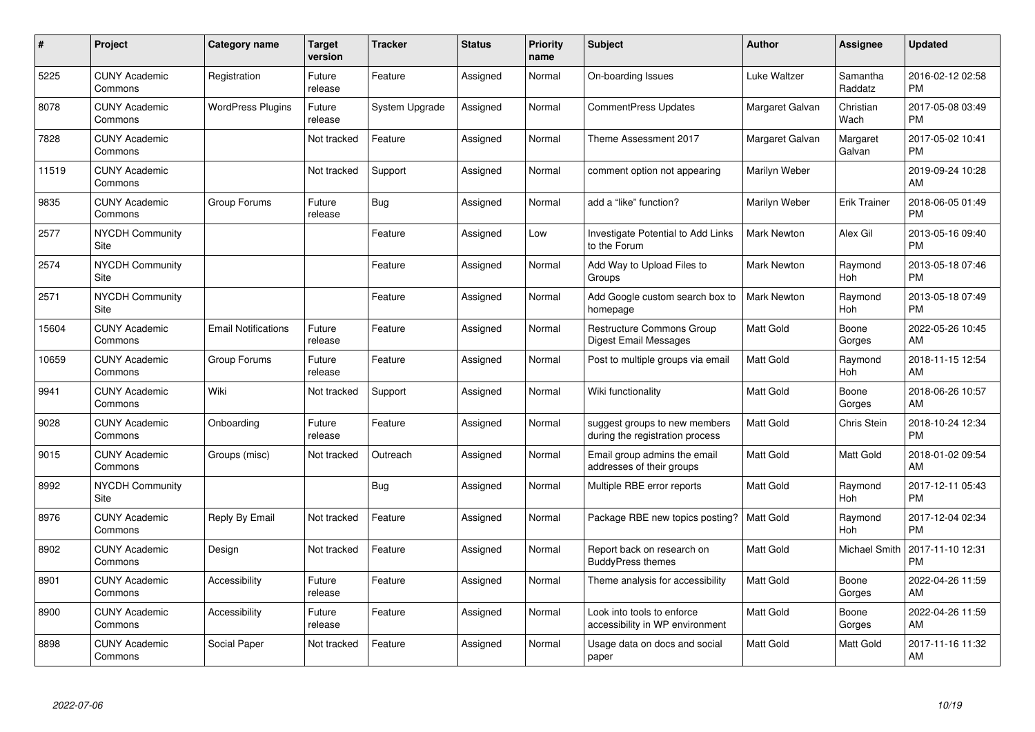| #     | Project                         | Category name              | <b>Target</b><br>version | <b>Tracker</b> | <b>Status</b> | Priority<br>name | <b>Subject</b>                                                   | <b>Author</b>      | <b>Assignee</b>     | <b>Updated</b>                |
|-------|---------------------------------|----------------------------|--------------------------|----------------|---------------|------------------|------------------------------------------------------------------|--------------------|---------------------|-------------------------------|
| 5225  | <b>CUNY Academic</b><br>Commons | Registration               | Future<br>release        | Feature        | Assigned      | Normal           | On-boarding Issues                                               | Luke Waltzer       | Samantha<br>Raddatz | 2016-02-12 02:58<br><b>PM</b> |
| 8078  | <b>CUNY Academic</b><br>Commons | <b>WordPress Plugins</b>   | Future<br>release        | System Upgrade | Assigned      | Normal           | CommentPress Updates                                             | Margaret Galvan    | Christian<br>Wach   | 2017-05-08 03:49<br><b>PM</b> |
| 7828  | <b>CUNY Academic</b><br>Commons |                            | Not tracked              | Feature        | Assigned      | Normal           | Theme Assessment 2017                                            | Margaret Galvan    | Margaret<br>Galvan  | 2017-05-02 10:41<br><b>PM</b> |
| 11519 | <b>CUNY Academic</b><br>Commons |                            | Not tracked              | Support        | Assigned      | Normal           | comment option not appearing                                     | Marilyn Weber      |                     | 2019-09-24 10:28<br>AM        |
| 9835  | <b>CUNY Academic</b><br>Commons | Group Forums               | Future<br>release        | Bug            | Assigned      | Normal           | add a "like" function?                                           | Marilyn Weber      | <b>Erik Trainer</b> | 2018-06-05 01:49<br><b>PM</b> |
| 2577  | <b>NYCDH Community</b><br>Site  |                            |                          | Feature        | Assigned      | Low              | Investigate Potential to Add Links<br>to the Forum               | <b>Mark Newton</b> | Alex Gil            | 2013-05-16 09:40<br><b>PM</b> |
| 2574  | <b>NYCDH Community</b><br>Site  |                            |                          | Feature        | Assigned      | Normal           | Add Way to Upload Files to<br>Groups                             | <b>Mark Newton</b> | Raymond<br>Hoh      | 2013-05-18 07:46<br><b>PM</b> |
| 2571  | <b>NYCDH Community</b><br>Site  |                            |                          | Feature        | Assigned      | Normal           | Add Google custom search box to<br>homepage                      | <b>Mark Newton</b> | Raymond<br>Hoh      | 2013-05-18 07:49<br><b>PM</b> |
| 15604 | <b>CUNY Academic</b><br>Commons | <b>Email Notifications</b> | Future<br>release        | Feature        | Assigned      | Normal           | <b>Restructure Commons Group</b><br><b>Digest Email Messages</b> | <b>Matt Gold</b>   | Boone<br>Gorges     | 2022-05-26 10:45<br>AM        |
| 10659 | <b>CUNY Academic</b><br>Commons | Group Forums               | Future<br>release        | Feature        | Assigned      | Normal           | Post to multiple groups via email                                | <b>Matt Gold</b>   | Raymond<br>Hoh      | 2018-11-15 12:54<br>AM        |
| 9941  | <b>CUNY Academic</b><br>Commons | Wiki                       | Not tracked              | Support        | Assigned      | Normal           | Wiki functionality                                               | <b>Matt Gold</b>   | Boone<br>Gorges     | 2018-06-26 10:57<br>AM        |
| 9028  | <b>CUNY Academic</b><br>Commons | Onboarding                 | Future<br>release        | Feature        | Assigned      | Normal           | suggest groups to new members<br>during the registration process | <b>Matt Gold</b>   | Chris Stein         | 2018-10-24 12:34<br><b>PM</b> |
| 9015  | <b>CUNY Academic</b><br>Commons | Groups (misc)              | Not tracked              | Outreach       | Assigned      | Normal           | Email group admins the email<br>addresses of their groups        | Matt Gold          | Matt Gold           | 2018-01-02 09:54<br>AM        |
| 8992  | <b>NYCDH Community</b><br>Site  |                            |                          | Bug            | Assigned      | Normal           | Multiple RBE error reports                                       | <b>Matt Gold</b>   | Raymond<br>Hoh      | 2017-12-11 05:43<br><b>PM</b> |
| 8976  | <b>CUNY Academic</b><br>Commons | Reply By Email             | Not tracked              | Feature        | Assigned      | Normal           | Package RBE new topics posting?                                  | <b>Matt Gold</b>   | Raymond<br>Hoh      | 2017-12-04 02:34<br><b>PM</b> |
| 8902  | <b>CUNY Academic</b><br>Commons | Design                     | Not tracked              | Feature        | Assigned      | Normal           | Report back on research on<br><b>BuddyPress themes</b>           | <b>Matt Gold</b>   | Michael Smith       | 2017-11-10 12:31<br><b>PM</b> |
| 8901  | <b>CUNY Academic</b><br>Commons | Accessibility              | Future<br>release        | Feature        | Assigned      | Normal           | Theme analysis for accessibility                                 | <b>Matt Gold</b>   | Boone<br>Gorges     | 2022-04-26 11:59<br>AM        |
| 8900  | <b>CUNY Academic</b><br>Commons | Accessibility              | Future<br>release        | Feature        | Assigned      | Normal           | Look into tools to enforce<br>accessibility in WP environment    | Matt Gold          | Boone<br>Gorges     | 2022-04-26 11:59<br>AM        |
| 8898  | <b>CUNY Academic</b><br>Commons | Social Paper               | Not tracked              | Feature        | Assigned      | Normal           | Usage data on docs and social<br>paper                           | <b>Matt Gold</b>   | Matt Gold           | 2017-11-16 11:32<br>AM        |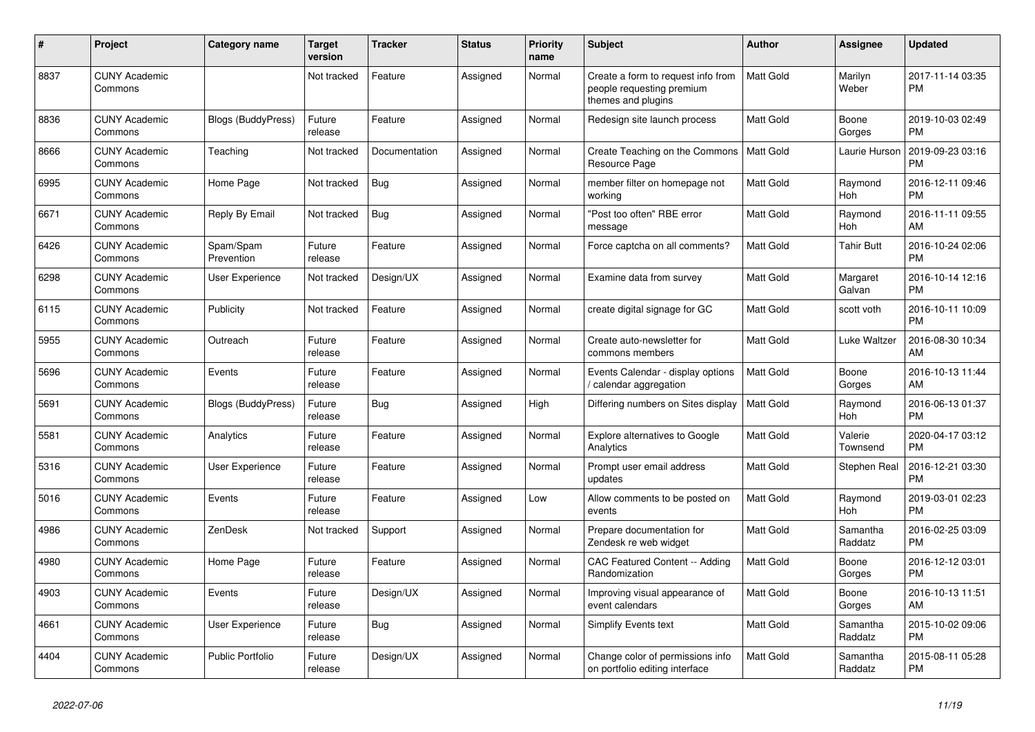| #    | Project                         | Category name             | <b>Target</b><br>version | <b>Tracker</b> | <b>Status</b> | Priority<br>name | <b>Subject</b>                                                                        | <b>Author</b>    | <b>Assignee</b>     | <b>Updated</b>                |
|------|---------------------------------|---------------------------|--------------------------|----------------|---------------|------------------|---------------------------------------------------------------------------------------|------------------|---------------------|-------------------------------|
| 8837 | <b>CUNY Academic</b><br>Commons |                           | Not tracked              | Feature        | Assigned      | Normal           | Create a form to request info from<br>people requesting premium<br>themes and plugins | <b>Matt Gold</b> | Marilyn<br>Weber    | 2017-11-14 03:35<br><b>PM</b> |
| 8836 | <b>CUNY Academic</b><br>Commons | <b>Blogs (BuddyPress)</b> | Future<br>release        | Feature        | Assigned      | Normal           | Redesign site launch process                                                          | <b>Matt Gold</b> | Boone<br>Gorges     | 2019-10-03 02:49<br><b>PM</b> |
| 8666 | <b>CUNY Academic</b><br>Commons | Teaching                  | Not tracked              | Documentation  | Assigned      | Normal           | Create Teaching on the Commons<br>Resource Page                                       | l Matt Gold      | Laurie Hurson       | 2019-09-23 03:16<br><b>PM</b> |
| 6995 | <b>CUNY Academic</b><br>Commons | Home Page                 | Not tracked              | Bug            | Assigned      | Normal           | member filter on homepage not<br>working                                              | <b>Matt Gold</b> | Raymond<br>Hoh      | 2016-12-11 09:46<br><b>PM</b> |
| 6671 | <b>CUNY Academic</b><br>Commons | Reply By Email            | Not tracked              | <b>Bug</b>     | Assigned      | Normal           | "Post too often" RBE error<br>message                                                 | <b>Matt Gold</b> | Raymond<br>Hoh      | 2016-11-11 09:55<br>AM        |
| 6426 | <b>CUNY Academic</b><br>Commons | Spam/Spam<br>Prevention   | Future<br>release        | Feature        | Assigned      | Normal           | Force captcha on all comments?                                                        | <b>Matt Gold</b> | Tahir Butt          | 2016-10-24 02:06<br><b>PM</b> |
| 6298 | <b>CUNY Academic</b><br>Commons | User Experience           | Not tracked              | Design/UX      | Assigned      | Normal           | Examine data from survey                                                              | <b>Matt Gold</b> | Margaret<br>Galvan  | 2016-10-14 12:16<br><b>PM</b> |
| 6115 | <b>CUNY Academic</b><br>Commons | Publicity                 | Not tracked              | Feature        | Assigned      | Normal           | create digital signage for GC                                                         | <b>Matt Gold</b> | scott voth          | 2016-10-11 10:09<br><b>PM</b> |
| 5955 | <b>CUNY Academic</b><br>Commons | Outreach                  | Future<br>release        | Feature        | Assigned      | Normal           | Create auto-newsletter for<br>commons members                                         | <b>Matt Gold</b> | Luke Waltzer        | 2016-08-30 10:34<br>AM        |
| 5696 | <b>CUNY Academic</b><br>Commons | Events                    | Future<br>release        | Feature        | Assigned      | Normal           | Events Calendar - display options<br>calendar aggregation                             | <b>Matt Gold</b> | Boone<br>Gorges     | 2016-10-13 11:44<br>AM        |
| 5691 | <b>CUNY Academic</b><br>Commons | <b>Blogs (BuddyPress)</b> | Future<br>release        | Bug            | Assigned      | High             | Differing numbers on Sites display                                                    | <b>Matt Gold</b> | Raymond<br>Hoh      | 2016-06-13 01:37<br><b>PM</b> |
| 5581 | <b>CUNY Academic</b><br>Commons | Analytics                 | Future<br>release        | Feature        | Assigned      | Normal           | <b>Explore alternatives to Google</b><br>Analytics                                    | <b>Matt Gold</b> | Valerie<br>Townsend | 2020-04-17 03:12<br><b>PM</b> |
| 5316 | <b>CUNY Academic</b><br>Commons | User Experience           | Future<br>release        | Feature        | Assigned      | Normal           | Prompt user email address<br>updates                                                  | <b>Matt Gold</b> | Stephen Real        | 2016-12-21 03:30<br><b>PM</b> |
| 5016 | <b>CUNY Academic</b><br>Commons | Events                    | Future<br>release        | Feature        | Assigned      | Low              | Allow comments to be posted on<br>events                                              | <b>Matt Gold</b> | Raymond<br>Hoh      | 2019-03-01 02:23<br><b>PM</b> |
| 4986 | <b>CUNY Academic</b><br>Commons | ZenDesk                   | Not tracked              | Support        | Assigned      | Normal           | Prepare documentation for<br>Zendesk re web widget                                    | <b>Matt Gold</b> | Samantha<br>Raddatz | 2016-02-25 03:09<br><b>PM</b> |
| 4980 | <b>CUNY Academic</b><br>Commons | Home Page                 | Future<br>release        | Feature        | Assigned      | Normal           | CAC Featured Content -- Adding<br>Randomization                                       | <b>Matt Gold</b> | Boone<br>Gorges     | 2016-12-12 03:01<br><b>PM</b> |
| 4903 | <b>CUNY Academic</b><br>Commons | Events                    | Future<br>release        | Design/UX      | Assigned      | Normal           | Improving visual appearance of<br>event calendars                                     | <b>Matt Gold</b> | Boone<br>Gorges     | 2016-10-13 11:51<br>AM        |
| 4661 | <b>CUNY Academic</b><br>Commons | User Experience           | Future<br>release        | Bug            | Assigned      | Normal           | <b>Simplify Events text</b>                                                           | <b>Matt Gold</b> | Samantha<br>Raddatz | 2015-10-02 09:06<br><b>PM</b> |
| 4404 | <b>CUNY Academic</b><br>Commons | Public Portfolio          | Future<br>release        | Design/UX      | Assigned      | Normal           | Change color of permissions info<br>on portfolio editing interface                    | <b>Matt Gold</b> | Samantha<br>Raddatz | 2015-08-11 05:28<br><b>PM</b> |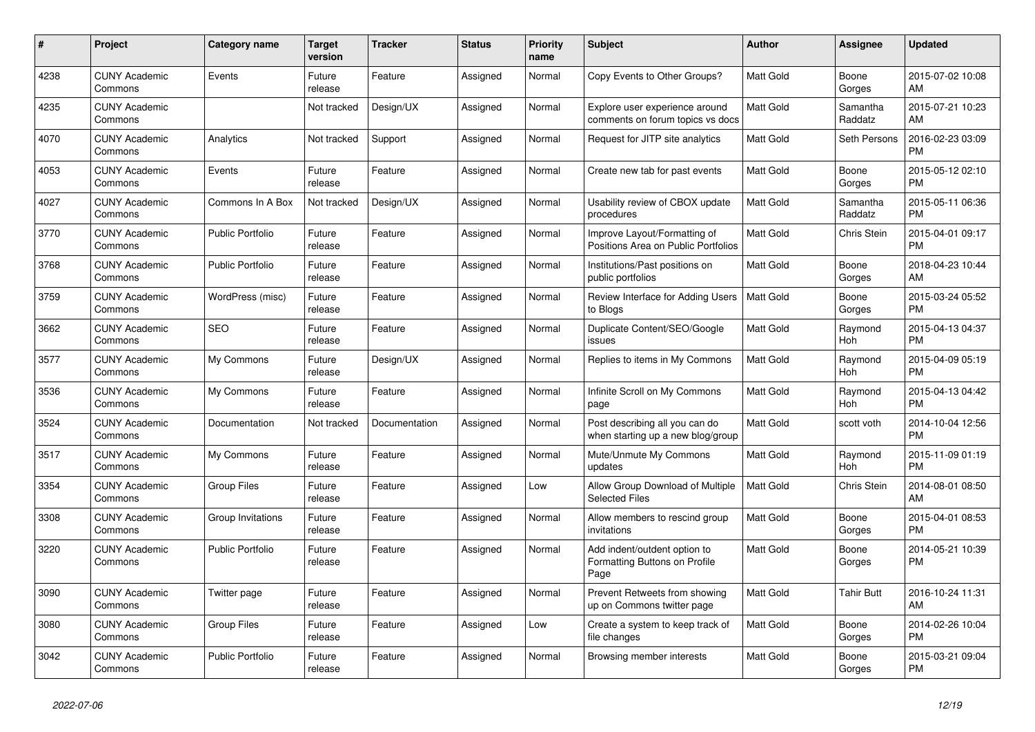| #    | Project                         | <b>Category name</b>    | <b>Target</b><br>version | <b>Tracker</b> | <b>Status</b> | <b>Priority</b><br>name | <b>Subject</b>                                                        | <b>Author</b>    | <b>Assignee</b>     | <b>Updated</b>                |
|------|---------------------------------|-------------------------|--------------------------|----------------|---------------|-------------------------|-----------------------------------------------------------------------|------------------|---------------------|-------------------------------|
| 4238 | <b>CUNY Academic</b><br>Commons | Events                  | Future<br>release        | Feature        | Assigned      | Normal                  | Copy Events to Other Groups?                                          | Matt Gold        | Boone<br>Gorges     | 2015-07-02 10:08<br>AM        |
| 4235 | <b>CUNY Academic</b><br>Commons |                         | Not tracked              | Design/UX      | Assigned      | Normal                  | Explore user experience around<br>comments on forum topics vs docs    | <b>Matt Gold</b> | Samantha<br>Raddatz | 2015-07-21 10:23<br>AM        |
| 4070 | <b>CUNY Academic</b><br>Commons | Analytics               | Not tracked              | Support        | Assigned      | Normal                  | Request for JITP site analytics                                       | <b>Matt Gold</b> | Seth Persons        | 2016-02-23 03:09<br><b>PM</b> |
| 4053 | <b>CUNY Academic</b><br>Commons | Events                  | Future<br>release        | Feature        | Assigned      | Normal                  | Create new tab for past events                                        | Matt Gold        | Boone<br>Gorges     | 2015-05-12 02:10<br><b>PM</b> |
| 4027 | <b>CUNY Academic</b><br>Commons | Commons In A Box        | Not tracked              | Design/UX      | Assigned      | Normal                  | Usability review of CBOX update<br>procedures                         | <b>Matt Gold</b> | Samantha<br>Raddatz | 2015-05-11 06:36<br><b>PM</b> |
| 3770 | <b>CUNY Academic</b><br>Commons | <b>Public Portfolio</b> | Future<br>release        | Feature        | Assigned      | Normal                  | Improve Layout/Formatting of<br>Positions Area on Public Portfolios   | <b>Matt Gold</b> | Chris Stein         | 2015-04-01 09:17<br><b>PM</b> |
| 3768 | <b>CUNY Academic</b><br>Commons | Public Portfolio        | Future<br>release        | Feature        | Assigned      | Normal                  | Institutions/Past positions on<br>public portfolios                   | <b>Matt Gold</b> | Boone<br>Gorges     | 2018-04-23 10:44<br>AM        |
| 3759 | <b>CUNY Academic</b><br>Commons | WordPress (misc)        | Future<br>release        | Feature        | Assigned      | Normal                  | Review Interface for Adding Users<br>to Blogs                         | <b>Matt Gold</b> | Boone<br>Gorges     | 2015-03-24 05:52<br><b>PM</b> |
| 3662 | <b>CUNY Academic</b><br>Commons | <b>SEO</b>              | Future<br>release        | Feature        | Assigned      | Normal                  | Duplicate Content/SEO/Google<br>issues                                | Matt Gold        | Raymond<br>Hoh      | 2015-04-13 04:37<br><b>PM</b> |
| 3577 | <b>CUNY Academic</b><br>Commons | My Commons              | Future<br>release        | Design/UX      | Assigned      | Normal                  | Replies to items in My Commons                                        | <b>Matt Gold</b> | Raymond<br>Hoh      | 2015-04-09 05:19<br><b>PM</b> |
| 3536 | <b>CUNY Academic</b><br>Commons | My Commons              | Future<br>release        | Feature        | Assigned      | Normal                  | Infinite Scroll on My Commons<br>page                                 | Matt Gold        | Raymond<br>Hoh      | 2015-04-13 04:42<br><b>PM</b> |
| 3524 | <b>CUNY Academic</b><br>Commons | Documentation           | Not tracked              | Documentation  | Assigned      | Normal                  | Post describing all you can do<br>when starting up a new blog/group   | <b>Matt Gold</b> | scott voth          | 2014-10-04 12:56<br><b>PM</b> |
| 3517 | <b>CUNY Academic</b><br>Commons | My Commons              | Future<br>release        | Feature        | Assigned      | Normal                  | Mute/Unmute My Commons<br>updates                                     | <b>Matt Gold</b> | Raymond<br>Hoh      | 2015-11-09 01:19<br><b>PM</b> |
| 3354 | <b>CUNY Academic</b><br>Commons | <b>Group Files</b>      | Future<br>release        | Feature        | Assigned      | Low                     | Allow Group Download of Multiple<br><b>Selected Files</b>             | <b>Matt Gold</b> | Chris Stein         | 2014-08-01 08:50<br>AM        |
| 3308 | <b>CUNY Academic</b><br>Commons | Group Invitations       | Future<br>release        | Feature        | Assigned      | Normal                  | Allow members to rescind group<br>invitations                         | Matt Gold        | Boone<br>Gorges     | 2015-04-01 08:53<br><b>PM</b> |
| 3220 | <b>CUNY Academic</b><br>Commons | <b>Public Portfolio</b> | Future<br>release        | Feature        | Assigned      | Normal                  | Add indent/outdent option to<br>Formatting Buttons on Profile<br>Page | Matt Gold        | Boone<br>Gorges     | 2014-05-21 10:39<br><b>PM</b> |
| 3090 | <b>CUNY Academic</b><br>Commons | Twitter page            | Future<br>release        | Feature        | Assigned      | Normal                  | Prevent Retweets from showing<br>up on Commons twitter page           | <b>Matt Gold</b> | Tahir Butt          | 2016-10-24 11:31<br>AM        |
| 3080 | <b>CUNY Academic</b><br>Commons | <b>Group Files</b>      | Future<br>release        | Feature        | Assigned      | Low                     | Create a system to keep track of<br>file changes                      | <b>Matt Gold</b> | Boone<br>Gorges     | 2014-02-26 10:04<br><b>PM</b> |
| 3042 | <b>CUNY Academic</b><br>Commons | <b>Public Portfolio</b> | Future<br>release        | Feature        | Assigned      | Normal                  | Browsing member interests                                             | <b>Matt Gold</b> | Boone<br>Gorges     | 2015-03-21 09:04<br><b>PM</b> |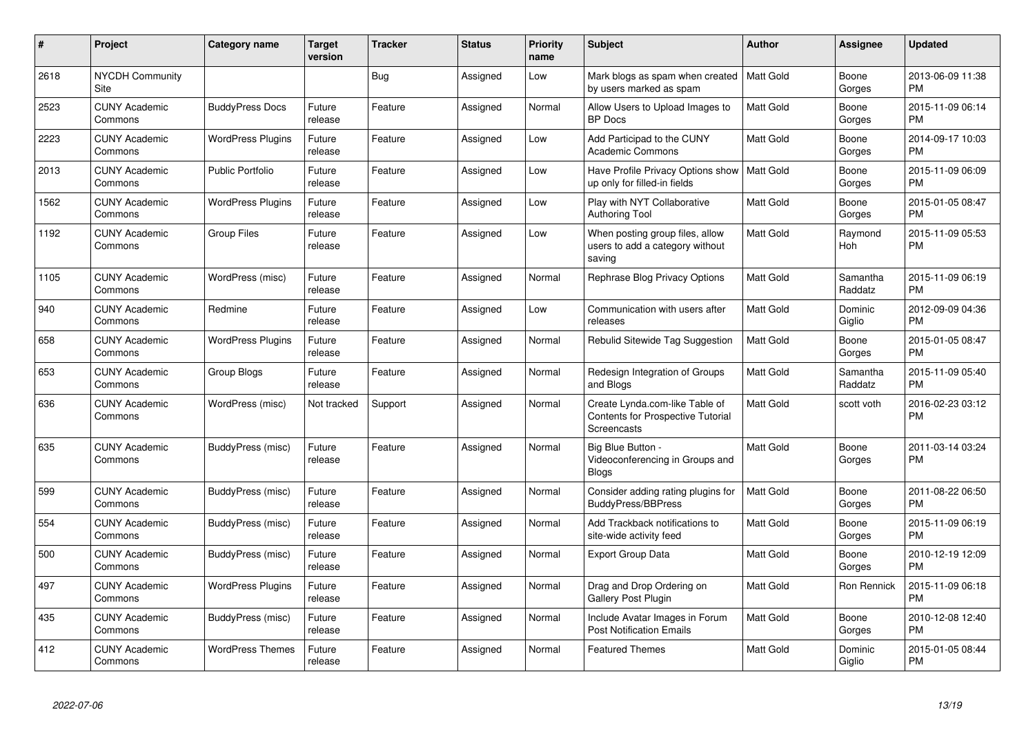| #    | Project                         | Category name            | <b>Target</b><br>version | <b>Tracker</b> | <b>Status</b> | Priority<br>name | <b>Subject</b>                                                                            | <b>Author</b>    | <b>Assignee</b>     | <b>Updated</b>                |
|------|---------------------------------|--------------------------|--------------------------|----------------|---------------|------------------|-------------------------------------------------------------------------------------------|------------------|---------------------|-------------------------------|
| 2618 | <b>NYCDH Community</b><br>Site  |                          |                          | Bug            | Assigned      | Low              | Mark blogs as spam when created   Matt Gold<br>by users marked as spam                    |                  | Boone<br>Gorges     | 2013-06-09 11:38<br><b>PM</b> |
| 2523 | <b>CUNY Academic</b><br>Commons | <b>BuddyPress Docs</b>   | Future<br>release        | Feature        | Assigned      | Normal           | Allow Users to Upload Images to<br><b>BP</b> Docs                                         | <b>Matt Gold</b> | Boone<br>Gorges     | 2015-11-09 06:14<br><b>PM</b> |
| 2223 | <b>CUNY Academic</b><br>Commons | <b>WordPress Plugins</b> | Future<br>release        | Feature        | Assigned      | Low              | Add Participad to the CUNY<br><b>Academic Commons</b>                                     | <b>Matt Gold</b> | Boone<br>Gorges     | 2014-09-17 10:03<br><b>PM</b> |
| 2013 | <b>CUNY Academic</b><br>Commons | <b>Public Portfolio</b>  | Future<br>release        | Feature        | Assigned      | Low              | Have Profile Privacy Options show   Matt Gold<br>up only for filled-in fields             |                  | Boone<br>Gorges     | 2015-11-09 06:09<br><b>PM</b> |
| 1562 | <b>CUNY Academic</b><br>Commons | <b>WordPress Plugins</b> | Future<br>release        | Feature        | Assigned      | Low              | Play with NYT Collaborative<br><b>Authoring Tool</b>                                      | <b>Matt Gold</b> | Boone<br>Gorges     | 2015-01-05 08:47<br><b>PM</b> |
| 1192 | <b>CUNY Academic</b><br>Commons | <b>Group Files</b>       | Future<br>release        | Feature        | Assigned      | Low              | When posting group files, allow<br>users to add a category without<br>saving              | <b>Matt Gold</b> | Raymond<br>Hoh      | 2015-11-09 05:53<br><b>PM</b> |
| 1105 | <b>CUNY Academic</b><br>Commons | WordPress (misc)         | Future<br>release        | Feature        | Assigned      | Normal           | Rephrase Blog Privacy Options                                                             | <b>Matt Gold</b> | Samantha<br>Raddatz | 2015-11-09 06:19<br><b>PM</b> |
| 940  | <b>CUNY Academic</b><br>Commons | Redmine                  | Future<br>release        | Feature        | Assigned      | Low              | Communication with users after<br>releases                                                | <b>Matt Gold</b> | Dominic<br>Giglio   | 2012-09-09 04:36<br><b>PM</b> |
| 658  | <b>CUNY Academic</b><br>Commons | <b>WordPress Plugins</b> | Future<br>release        | Feature        | Assigned      | Normal           | Rebulid Sitewide Tag Suggestion                                                           | <b>Matt Gold</b> | Boone<br>Gorges     | 2015-01-05 08:47<br><b>PM</b> |
| 653  | <b>CUNY Academic</b><br>Commons | Group Blogs              | Future<br>release        | Feature        | Assigned      | Normal           | Redesign Integration of Groups<br>and Blogs                                               | <b>Matt Gold</b> | Samantha<br>Raddatz | 2015-11-09 05:40<br><b>PM</b> |
| 636  | <b>CUNY Academic</b><br>Commons | WordPress (misc)         | Not tracked              | Support        | Assigned      | Normal           | Create Lynda.com-like Table of<br><b>Contents for Prospective Tutorial</b><br>Screencasts | <b>Matt Gold</b> | scott voth          | 2016-02-23 03:12<br><b>PM</b> |
| 635  | <b>CUNY Academic</b><br>Commons | BuddyPress (misc)        | Future<br>release        | Feature        | Assigned      | Normal           | Big Blue Button -<br>Videoconferencing in Groups and<br><b>Blogs</b>                      | <b>Matt Gold</b> | Boone<br>Gorges     | 2011-03-14 03:24<br><b>PM</b> |
| 599  | <b>CUNY Academic</b><br>Commons | BuddyPress (misc)        | Future<br>release        | Feature        | Assigned      | Normal           | Consider adding rating plugins for<br><b>BuddyPress/BBPress</b>                           | <b>Matt Gold</b> | Boone<br>Gorges     | 2011-08-22 06:50<br><b>PM</b> |
| 554  | <b>CUNY Academic</b><br>Commons | BuddyPress (misc)        | Future<br>release        | Feature        | Assigned      | Normal           | Add Trackback notifications to<br>site-wide activity feed                                 | <b>Matt Gold</b> | Boone<br>Gorges     | 2015-11-09 06:19<br><b>PM</b> |
| 500  | <b>CUNY Academic</b><br>Commons | BuddyPress (misc)        | Future<br>release        | Feature        | Assigned      | Normal           | <b>Export Group Data</b>                                                                  | <b>Matt Gold</b> | Boone<br>Gorges     | 2010-12-19 12:09<br><b>PM</b> |
| 497  | <b>CUNY Academic</b><br>Commons | <b>WordPress Plugins</b> | Future<br>release        | Feature        | Assigned      | Normal           | Drag and Drop Ordering on<br><b>Gallery Post Plugin</b>                                   | Matt Gold        | Ron Rennick         | 2015-11-09 06:18<br><b>PM</b> |
| 435  | <b>CUNY Academic</b><br>Commons | BuddyPress (misc)        | Future<br>release        | Feature        | Assigned      | Normal           | Include Avatar Images in Forum<br><b>Post Notification Emails</b>                         | <b>Matt Gold</b> | Boone<br>Gorges     | 2010-12-08 12:40<br><b>PM</b> |
| 412  | <b>CUNY Academic</b><br>Commons | <b>WordPress Themes</b>  | Future<br>release        | Feature        | Assigned      | Normal           | <b>Featured Themes</b>                                                                    | <b>Matt Gold</b> | Dominic<br>Giglio   | 2015-01-05 08:44<br><b>PM</b> |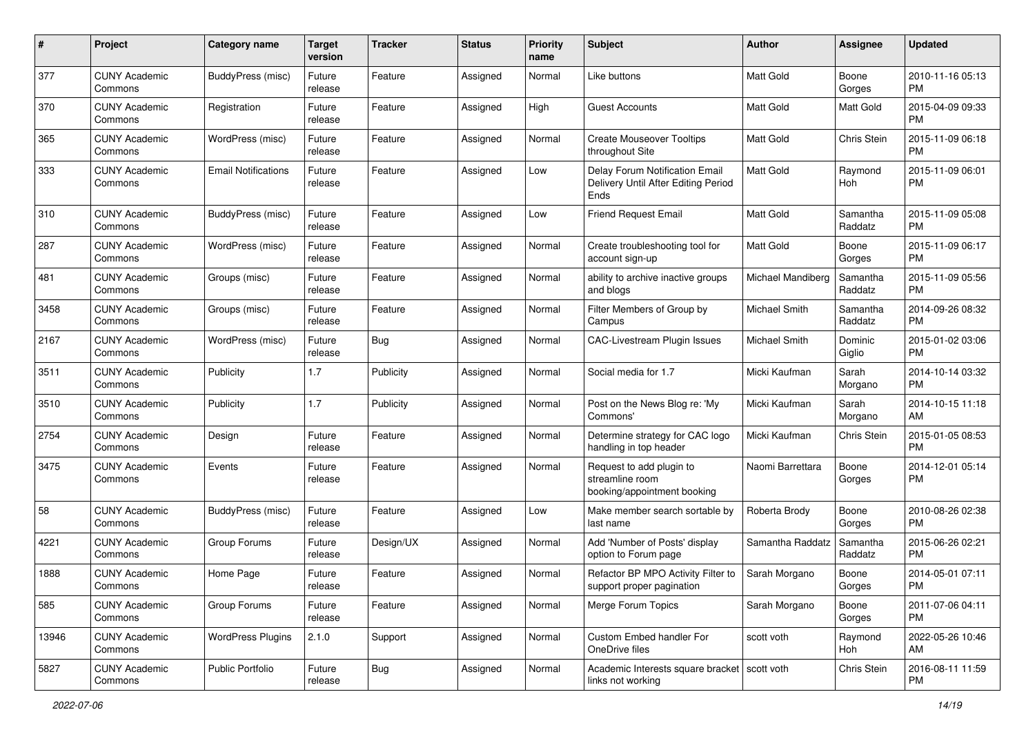| #     | Project                         | <b>Category name</b>       | <b>Target</b><br>version | <b>Tracker</b> | <b>Status</b> | Priority<br>name | Subject                                                                       | Author            | <b>Assignee</b>     | <b>Updated</b>                |
|-------|---------------------------------|----------------------------|--------------------------|----------------|---------------|------------------|-------------------------------------------------------------------------------|-------------------|---------------------|-------------------------------|
| 377   | <b>CUNY Academic</b><br>Commons | BuddyPress (misc)          | Future<br>release        | Feature        | Assigned      | Normal           | Like buttons                                                                  | <b>Matt Gold</b>  | Boone<br>Gorges     | 2010-11-16 05:13<br><b>PM</b> |
| 370   | <b>CUNY Academic</b><br>Commons | Registration               | Future<br>release        | Feature        | Assigned      | High             | Guest Accounts                                                                | Matt Gold         | Matt Gold           | 2015-04-09 09:33<br><b>PM</b> |
| 365   | <b>CUNY Academic</b><br>Commons | WordPress (misc)           | Future<br>release        | Feature        | Assigned      | Normal           | <b>Create Mouseover Tooltips</b><br>throughout Site                           | <b>Matt Gold</b>  | Chris Stein         | 2015-11-09 06:18<br><b>PM</b> |
| 333   | <b>CUNY Academic</b><br>Commons | <b>Email Notifications</b> | Future<br>release        | Feature        | Assigned      | Low              | Delay Forum Notification Email<br>Delivery Until After Editing Period<br>Ends | <b>Matt Gold</b>  | Raymond<br>Hoh      | 2015-11-09 06:01<br>PM        |
| 310   | <b>CUNY Academic</b><br>Commons | BuddyPress (misc)          | Future<br>release        | Feature        | Assigned      | Low              | <b>Friend Request Email</b>                                                   | Matt Gold         | Samantha<br>Raddatz | 2015-11-09 05:08<br>PM        |
| 287   | <b>CUNY Academic</b><br>Commons | WordPress (misc)           | Future<br>release        | Feature        | Assigned      | Normal           | Create troubleshooting tool for<br>account sign-up                            | Matt Gold         | Boone<br>Gorges     | 2015-11-09 06:17<br><b>PM</b> |
| 481   | <b>CUNY Academic</b><br>Commons | Groups (misc)              | Future<br>release        | Feature        | Assigned      | Normal           | ability to archive inactive groups<br>and blogs                               | Michael Mandiberg | Samantha<br>Raddatz | 2015-11-09 05:56<br><b>PM</b> |
| 3458  | <b>CUNY Academic</b><br>Commons | Groups (misc)              | Future<br>release        | Feature        | Assigned      | Normal           | Filter Members of Group by<br>Campus                                          | Michael Smith     | Samantha<br>Raddatz | 2014-09-26 08:32<br><b>PM</b> |
| 2167  | <b>CUNY Academic</b><br>Commons | WordPress (misc)           | Future<br>release        | <b>Bug</b>     | Assigned      | Normal           | CAC-Livestream Plugin Issues                                                  | Michael Smith     | Dominic<br>Giglio   | 2015-01-02 03:06<br><b>PM</b> |
| 3511  | <b>CUNY Academic</b><br>Commons | Publicity                  | 1.7                      | Publicity      | Assigned      | Normal           | Social media for 1.7                                                          | Micki Kaufman     | Sarah<br>Morgano    | 2014-10-14 03:32<br>PM.       |
| 3510  | <b>CUNY Academic</b><br>Commons | Publicity                  | 1.7                      | Publicity      | Assigned      | Normal           | Post on the News Blog re: 'My<br>Commons'                                     | Micki Kaufman     | Sarah<br>Morgano    | 2014-10-15 11:18<br>AM        |
| 2754  | <b>CUNY Academic</b><br>Commons | Design                     | Future<br>release        | Feature        | Assigned      | Normal           | Determine strategy for CAC logo<br>handling in top header                     | Micki Kaufman     | Chris Stein         | 2015-01-05 08:53<br><b>PM</b> |
| 3475  | <b>CUNY Academic</b><br>Commons | Events                     | Future<br>release        | Feature        | Assigned      | Normal           | Request to add plugin to<br>streamline room<br>booking/appointment booking    | Naomi Barrettara  | Boone<br>Gorges     | 2014-12-01 05:14<br><b>PM</b> |
| 58    | <b>CUNY Academic</b><br>Commons | BuddyPress (misc)          | Future<br>release        | Feature        | Assigned      | Low              | Make member search sortable by<br>last name                                   | Roberta Brody     | Boone<br>Gorges     | 2010-08-26 02:38<br><b>PM</b> |
| 4221  | <b>CUNY Academic</b><br>Commons | Group Forums               | Future<br>release        | Design/UX      | Assigned      | Normal           | Add 'Number of Posts' display<br>option to Forum page                         | Samantha Raddatz  | Samantha<br>Raddatz | 2015-06-26 02:21<br><b>PM</b> |
| 1888  | <b>CUNY Academic</b><br>Commons | Home Page                  | Future<br>release        | Feature        | Assigned      | Normal           | Refactor BP MPO Activity Filter to<br>support proper pagination               | Sarah Morgano     | Boone<br>Gorges     | 2014-05-01 07:11<br>PM        |
| 585   | <b>CUNY Academic</b><br>Commons | Group Forums               | Future<br>release        | Feature        | Assigned      | Normal           | Merge Forum Topics                                                            | Sarah Morgano     | Boone<br>Gorges     | 2011-07-06 04:11<br>PM        |
| 13946 | <b>CUNY Academic</b><br>Commons | <b>WordPress Plugins</b>   | 2.1.0                    | Support        | Assigned      | Normal           | Custom Embed handler For<br>OneDrive files                                    | scott voth        | Raymond<br>Hoh      | 2022-05-26 10:46<br>AM        |
| 5827  | <b>CUNY Academic</b><br>Commons | <b>Public Portfolio</b>    | Future<br>release        | Bug            | Assigned      | Normal           | Academic Interests square bracket   scott voth<br>links not working           |                   | Chris Stein         | 2016-08-11 11:59<br><b>PM</b> |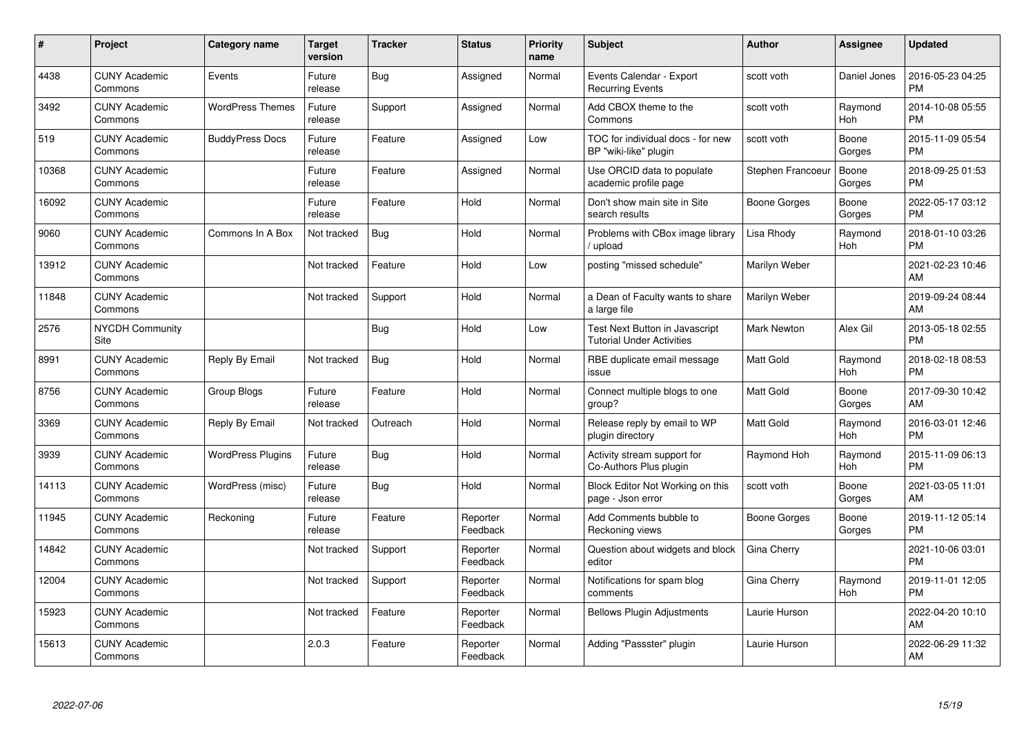| #     | Project                         | Category name            | Target<br>version | <b>Tracker</b> | <b>Status</b>        | <b>Priority</b><br>name | <b>Subject</b>                                                     | <b>Author</b>       | <b>Assignee</b> | <b>Updated</b>                |
|-------|---------------------------------|--------------------------|-------------------|----------------|----------------------|-------------------------|--------------------------------------------------------------------|---------------------|-----------------|-------------------------------|
| 4438  | <b>CUNY Academic</b><br>Commons | Events                   | Future<br>release | Bug            | Assigned             | Normal                  | Events Calendar - Export<br><b>Recurring Events</b>                | scott voth          | Daniel Jones    | 2016-05-23 04:25<br><b>PM</b> |
| 3492  | <b>CUNY Academic</b><br>Commons | <b>WordPress Themes</b>  | Future<br>release | Support        | Assigned             | Normal                  | Add CBOX theme to the<br>Commons                                   | scott voth          | Raymond<br>Hoh  | 2014-10-08 05:55<br><b>PM</b> |
| 519   | <b>CUNY Academic</b><br>Commons | <b>BuddyPress Docs</b>   | Future<br>release | Feature        | Assigned             | Low                     | TOC for individual docs - for new<br>BP "wiki-like" plugin         | scott voth          | Boone<br>Gorges | 2015-11-09 05:54<br><b>PM</b> |
| 10368 | <b>CUNY Academic</b><br>Commons |                          | Future<br>release | Feature        | Assigned             | Normal                  | Use ORCID data to populate<br>academic profile page                | Stephen Francoeur   | Boone<br>Gorges | 2018-09-25 01:53<br><b>PM</b> |
| 16092 | <b>CUNY Academic</b><br>Commons |                          | Future<br>release | Feature        | Hold                 | Normal                  | Don't show main site in Site<br>search results                     | <b>Boone Gorges</b> | Boone<br>Gorges | 2022-05-17 03:12<br><b>PM</b> |
| 9060  | <b>CUNY Academic</b><br>Commons | Commons In A Box         | Not tracked       | Bug            | Hold                 | Normal                  | Problems with CBox image library<br>upload                         | Lisa Rhody          | Raymond<br>Hoh  | 2018-01-10 03:26<br><b>PM</b> |
| 13912 | <b>CUNY Academic</b><br>Commons |                          | Not tracked       | Feature        | Hold                 | Low                     | posting "missed schedule"                                          | Marilyn Weber       |                 | 2021-02-23 10:46<br>AM        |
| 11848 | <b>CUNY Academic</b><br>Commons |                          | Not tracked       | Support        | Hold                 | Normal                  | a Dean of Faculty wants to share<br>a large file                   | Marilyn Weber       |                 | 2019-09-24 08:44<br>AM        |
| 2576  | <b>NYCDH Community</b><br>Site  |                          |                   | Bug            | Hold                 | Low                     | Test Next Button in Javascript<br><b>Tutorial Under Activities</b> | <b>Mark Newton</b>  | Alex Gil        | 2013-05-18 02:55<br><b>PM</b> |
| 8991  | <b>CUNY Academic</b><br>Commons | Reply By Email           | Not tracked       | Bug            | Hold                 | Normal                  | RBE duplicate email message<br>issue                               | Matt Gold           | Raymond<br>Hoh  | 2018-02-18 08:53<br><b>PM</b> |
| 8756  | <b>CUNY Academic</b><br>Commons | Group Blogs              | Future<br>release | Feature        | Hold                 | Normal                  | Connect multiple blogs to one<br>group?                            | <b>Matt Gold</b>    | Boone<br>Gorges | 2017-09-30 10:42<br>AM        |
| 3369  | <b>CUNY Academic</b><br>Commons | Reply By Email           | Not tracked       | Outreach       | Hold                 | Normal                  | Release reply by email to WP<br>plugin directory                   | <b>Matt Gold</b>    | Raymond<br>Hoh  | 2016-03-01 12:46<br><b>PM</b> |
| 3939  | <b>CUNY Academic</b><br>Commons | <b>WordPress Plugins</b> | Future<br>release | Bug            | Hold                 | Normal                  | Activity stream support for<br>Co-Authors Plus plugin              | Raymond Hoh         | Raymond<br>Hoh  | 2015-11-09 06:13<br><b>PM</b> |
| 14113 | <b>CUNY Academic</b><br>Commons | WordPress (misc)         | Future<br>release | <b>Bug</b>     | Hold                 | Normal                  | Block Editor Not Working on this<br>page - Json error              | scott voth          | Boone<br>Gorges | 2021-03-05 11:01<br>AM        |
| 11945 | <b>CUNY Academic</b><br>Commons | Reckoning                | Future<br>release | Feature        | Reporter<br>Feedback | Normal                  | Add Comments bubble to<br>Reckoning views                          | Boone Gorges        | Boone<br>Gorges | 2019-11-12 05:14<br><b>PM</b> |
| 14842 | <b>CUNY Academic</b><br>Commons |                          | Not tracked       | Support        | Reporter<br>Feedback | Normal                  | Question about widgets and block<br>editor                         | Gina Cherry         |                 | 2021-10-06 03:01<br><b>PM</b> |
| 12004 | <b>CUNY Academic</b><br>Commons |                          | Not tracked       | Support        | Reporter<br>Feedback | Normal                  | Notifications for spam blog<br>comments                            | Gina Cherry         | Raymond<br>Hoh  | 2019-11-01 12:05<br><b>PM</b> |
| 15923 | <b>CUNY Academic</b><br>Commons |                          | Not tracked       | Feature        | Reporter<br>Feedback | Normal                  | <b>Bellows Plugin Adjustments</b>                                  | Laurie Hurson       |                 | 2022-04-20 10:10<br>AM        |
| 15613 | <b>CUNY Academic</b><br>Commons |                          | 2.0.3             | Feature        | Reporter<br>Feedback | Normal                  | Adding "Passster" plugin                                           | Laurie Hurson       |                 | 2022-06-29 11:32<br>AM        |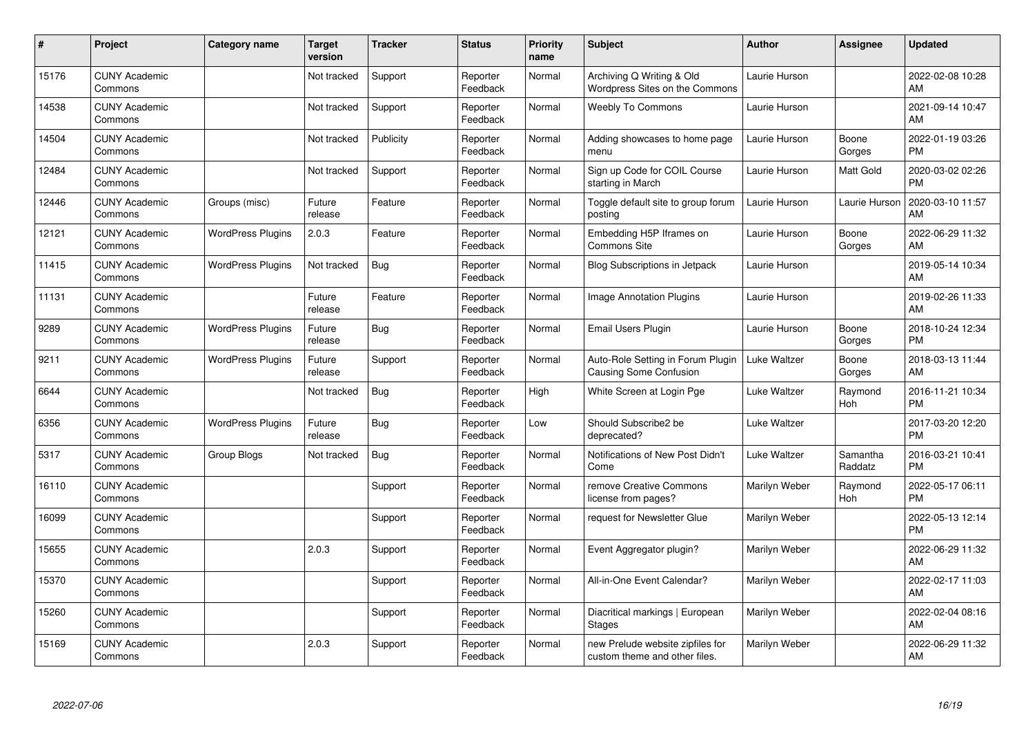| #     | Project                         | <b>Category name</b>     | <b>Target</b><br>version | <b>Tracker</b> | <b>Status</b>        | <b>Priority</b><br>name | <b>Subject</b>                                                    | <b>Author</b>       | <b>Assignee</b>     | <b>Updated</b>                |
|-------|---------------------------------|--------------------------|--------------------------|----------------|----------------------|-------------------------|-------------------------------------------------------------------|---------------------|---------------------|-------------------------------|
| 15176 | <b>CUNY Academic</b><br>Commons |                          | Not tracked              | Support        | Reporter<br>Feedback | Normal                  | Archiving Q Writing & Old<br>Wordpress Sites on the Commons       | Laurie Hurson       |                     | 2022-02-08 10:28<br>AM        |
| 14538 | <b>CUNY Academic</b><br>Commons |                          | Not tracked              | Support        | Reporter<br>Feedback | Normal                  | <b>Weebly To Commons</b>                                          | Laurie Hurson       |                     | 2021-09-14 10:47<br>AM        |
| 14504 | <b>CUNY Academic</b><br>Commons |                          | Not tracked              | Publicity      | Reporter<br>Feedback | Normal                  | Adding showcases to home page<br>menu                             | Laurie Hurson       | Boone<br>Gorges     | 2022-01-19 03:26<br><b>PM</b> |
| 12484 | <b>CUNY Academic</b><br>Commons |                          | Not tracked              | Support        | Reporter<br>Feedback | Normal                  | Sign up Code for COIL Course<br>starting in March                 | Laurie Hurson       | Matt Gold           | 2020-03-02 02:26<br><b>PM</b> |
| 12446 | <b>CUNY Academic</b><br>Commons | Groups (misc)            | Future<br>release        | Feature        | Reporter<br>Feedback | Normal                  | Toggle default site to group forum<br>posting                     | Laurie Hurson       | Laurie Hurson       | 2020-03-10 11:57<br>AM        |
| 12121 | <b>CUNY Academic</b><br>Commons | <b>WordPress Plugins</b> | 2.0.3                    | Feature        | Reporter<br>Feedback | Normal                  | Embedding H5P Iframes on<br>Commons Site                          | Laurie Hurson       | Boone<br>Gorges     | 2022-06-29 11:32<br>AM        |
| 11415 | <b>CUNY Academic</b><br>Commons | <b>WordPress Plugins</b> | Not tracked              | Bug            | Reporter<br>Feedback | Normal                  | <b>Blog Subscriptions in Jetpack</b>                              | Laurie Hurson       |                     | 2019-05-14 10:34<br>AM        |
| 11131 | <b>CUNY Academic</b><br>Commons |                          | Future<br>release        | Feature        | Reporter<br>Feedback | Normal                  | <b>Image Annotation Plugins</b>                                   | Laurie Hurson       |                     | 2019-02-26 11:33<br>AM        |
| 9289  | <b>CUNY Academic</b><br>Commons | <b>WordPress Plugins</b> | Future<br>release        | Bug            | Reporter<br>Feedback | Normal                  | Email Users Plugin                                                | Laurie Hurson       | Boone<br>Gorges     | 2018-10-24 12:34<br><b>PM</b> |
| 9211  | <b>CUNY Academic</b><br>Commons | <b>WordPress Plugins</b> | Future<br>release        | Support        | Reporter<br>Feedback | Normal                  | Auto-Role Setting in Forum Plugin<br>Causing Some Confusion       | <b>Luke Waltzer</b> | Boone<br>Gorges     | 2018-03-13 11:44<br>AM        |
| 6644  | <b>CUNY Academic</b><br>Commons |                          | Not tracked              | Bug            | Reporter<br>Feedback | High                    | White Screen at Login Pge                                         | Luke Waltzer        | Raymond<br>Hoh      | 2016-11-21 10:34<br><b>PM</b> |
| 6356  | <b>CUNY Academic</b><br>Commons | <b>WordPress Plugins</b> | Future<br>release        | <b>Bug</b>     | Reporter<br>Feedback | Low                     | Should Subscribe2 be<br>deprecated?                               | Luke Waltzer        |                     | 2017-03-20 12:20<br><b>PM</b> |
| 5317  | <b>CUNY Academic</b><br>Commons | Group Blogs              | Not tracked              | <b>Bug</b>     | Reporter<br>Feedback | Normal                  | Notifications of New Post Didn't<br>Come                          | Luke Waltzer        | Samantha<br>Raddatz | 2016-03-21 10:41<br><b>PM</b> |
| 16110 | <b>CUNY Academic</b><br>Commons |                          |                          | Support        | Reporter<br>Feedback | Normal                  | remove Creative Commons<br>license from pages?                    | Marilyn Weber       | Raymond<br>Hoh      | 2022-05-17 06:11<br><b>PM</b> |
| 16099 | <b>CUNY Academic</b><br>Commons |                          |                          | Support        | Reporter<br>Feedback | Normal                  | request for Newsletter Glue                                       | Marilyn Weber       |                     | 2022-05-13 12:14<br><b>PM</b> |
| 15655 | <b>CUNY Academic</b><br>Commons |                          | 2.0.3                    | Support        | Reporter<br>Feedback | Normal                  | Event Aggregator plugin?                                          | Marilyn Weber       |                     | 2022-06-29 11:32<br>AM        |
| 15370 | <b>CUNY Academic</b><br>Commons |                          |                          | Support        | Reporter<br>Feedback | Normal                  | All-in-One Event Calendar?                                        | Marilyn Weber       |                     | 2022-02-17 11:03<br>AM        |
| 15260 | <b>CUNY Academic</b><br>Commons |                          |                          | Support        | Reporter<br>Feedback | Normal                  | Diacritical markings   European<br><b>Stages</b>                  | Marilyn Weber       |                     | 2022-02-04 08:16<br>AM        |
| 15169 | <b>CUNY Academic</b><br>Commons |                          | 2.0.3                    | Support        | Reporter<br>Feedback | Normal                  | new Prelude website zipfiles for<br>custom theme and other files. | Marilyn Weber       |                     | 2022-06-29 11:32<br>AM        |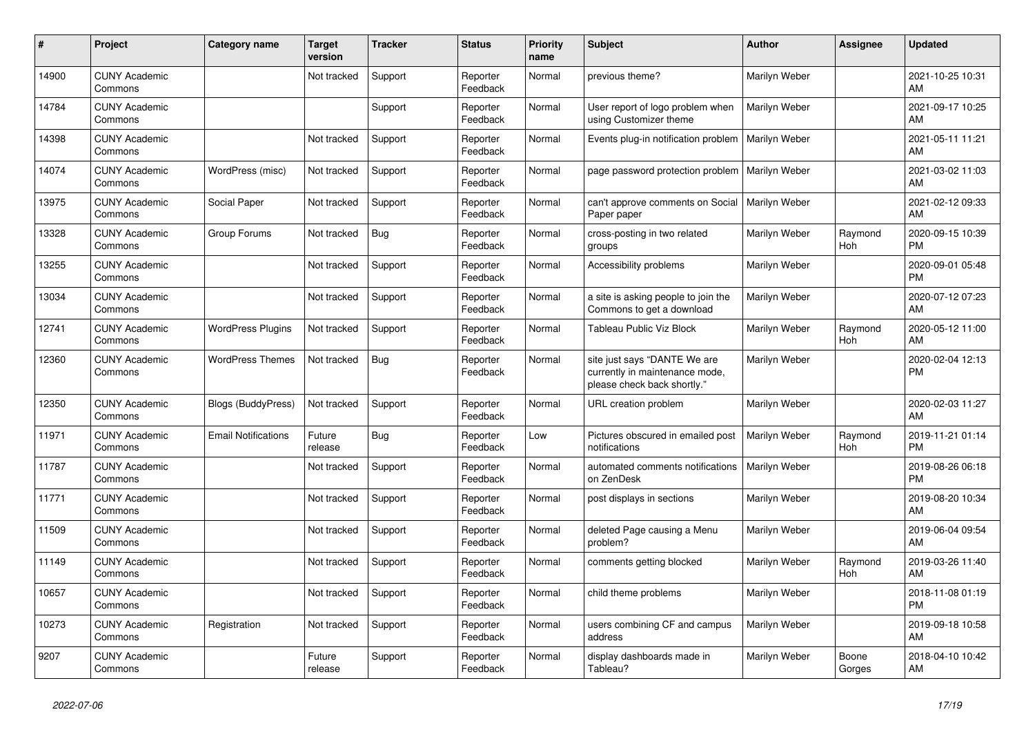| #     | Project                         | <b>Category name</b>       | <b>Target</b><br>version | <b>Tracker</b> | <b>Status</b>        | <b>Priority</b><br>name | <b>Subject</b>                                                                                | <b>Author</b> | Assignee        | <b>Updated</b>                |
|-------|---------------------------------|----------------------------|--------------------------|----------------|----------------------|-------------------------|-----------------------------------------------------------------------------------------------|---------------|-----------------|-------------------------------|
| 14900 | <b>CUNY Academic</b><br>Commons |                            | Not tracked              | Support        | Reporter<br>Feedback | Normal                  | previous theme?                                                                               | Marilyn Weber |                 | 2021-10-25 10:31<br><b>AM</b> |
| 14784 | <b>CUNY Academic</b><br>Commons |                            |                          | Support        | Reporter<br>Feedback | Normal                  | User report of logo problem when<br>using Customizer theme                                    | Marilyn Weber |                 | 2021-09-17 10:25<br>AM        |
| 14398 | <b>CUNY Academic</b><br>Commons |                            | Not tracked              | Support        | Reporter<br>Feedback | Normal                  | Events plug-in notification problem                                                           | Marilyn Weber |                 | 2021-05-11 11:21<br>AM        |
| 14074 | <b>CUNY Academic</b><br>Commons | WordPress (misc)           | Not tracked              | Support        | Reporter<br>Feedback | Normal                  | page password protection problem                                                              | Marilyn Weber |                 | 2021-03-02 11:03<br><b>AM</b> |
| 13975 | <b>CUNY Academic</b><br>Commons | Social Paper               | Not tracked              | Support        | Reporter<br>Feedback | Normal                  | can't approve comments on Social<br>Paper paper                                               | Marilyn Weber |                 | 2021-02-12 09:33<br><b>AM</b> |
| 13328 | <b>CUNY Academic</b><br>Commons | Group Forums               | Not tracked              | Bug            | Reporter<br>Feedback | Normal                  | cross-posting in two related<br>groups                                                        | Marilyn Weber | Raymond<br>Hoh  | 2020-09-15 10:39<br><b>PM</b> |
| 13255 | <b>CUNY Academic</b><br>Commons |                            | Not tracked              | Support        | Reporter<br>Feedback | Normal                  | Accessibility problems                                                                        | Marilyn Weber |                 | 2020-09-01 05:48<br><b>PM</b> |
| 13034 | <b>CUNY Academic</b><br>Commons |                            | Not tracked              | Support        | Reporter<br>Feedback | Normal                  | a site is asking people to join the<br>Commons to get a download                              | Marilyn Weber |                 | 2020-07-12 07:23<br><b>AM</b> |
| 12741 | <b>CUNY Academic</b><br>Commons | <b>WordPress Plugins</b>   | Not tracked              | Support        | Reporter<br>Feedback | Normal                  | Tableau Public Viz Block                                                                      | Marilyn Weber | Raymond<br>Hoh  | 2020-05-12 11:00<br>AM        |
| 12360 | <b>CUNY Academic</b><br>Commons | <b>WordPress Themes</b>    | Not tracked              | <b>Bug</b>     | Reporter<br>Feedback | Normal                  | site just says "DANTE We are<br>currently in maintenance mode,<br>please check back shortly." | Marilyn Weber |                 | 2020-02-04 12:13<br>PM        |
| 12350 | <b>CUNY Academic</b><br>Commons | <b>Blogs (BuddyPress)</b>  | Not tracked              | Support        | Reporter<br>Feedback | Normal                  | URL creation problem                                                                          | Marilyn Weber |                 | 2020-02-03 11:27<br>AM        |
| 11971 | <b>CUNY Academic</b><br>Commons | <b>Email Notifications</b> | Future<br>release        | Bug            | Reporter<br>Feedback | Low                     | Pictures obscured in emailed post<br>notifications                                            | Marilyn Weber | Raymond<br>Hoh  | 2019-11-21 01:14<br><b>PM</b> |
| 11787 | <b>CUNY Academic</b><br>Commons |                            | Not tracked              | Support        | Reporter<br>Feedback | Normal                  | automated comments notifications<br>on ZenDesk                                                | Marilyn Weber |                 | 2019-08-26 06:18<br><b>PM</b> |
| 11771 | <b>CUNY Academic</b><br>Commons |                            | Not tracked              | Support        | Reporter<br>Feedback | Normal                  | post displays in sections                                                                     | Marilyn Weber |                 | 2019-08-20 10:34<br><b>AM</b> |
| 11509 | <b>CUNY Academic</b><br>Commons |                            | Not tracked              | Support        | Reporter<br>Feedback | Normal                  | deleted Page causing a Menu<br>problem?                                                       | Marilyn Weber |                 | 2019-06-04 09:54<br>AM        |
| 11149 | <b>CUNY Academic</b><br>Commons |                            | Not tracked              | Support        | Reporter<br>Feedback | Normal                  | comments getting blocked                                                                      | Marilyn Weber | Raymond<br>Hoh  | 2019-03-26 11:40<br><b>AM</b> |
| 10657 | <b>CUNY Academic</b><br>Commons |                            | Not tracked              | Support        | Reporter<br>Feedback | Normal                  | child theme problems                                                                          | Marilyn Weber |                 | 2018-11-08 01:19<br><b>PM</b> |
| 10273 | <b>CUNY Academic</b><br>Commons | Registration               | Not tracked              | Support        | Reporter<br>Feedback | Normal                  | users combining CF and campus<br>address                                                      | Marilyn Weber |                 | 2019-09-18 10:58<br>AM        |
| 9207  | <b>CUNY Academic</b><br>Commons |                            | Future<br>release        | Support        | Reporter<br>Feedback | Normal                  | display dashboards made in<br>Tableau?                                                        | Marilyn Weber | Boone<br>Gorges | 2018-04-10 10:42<br>AM        |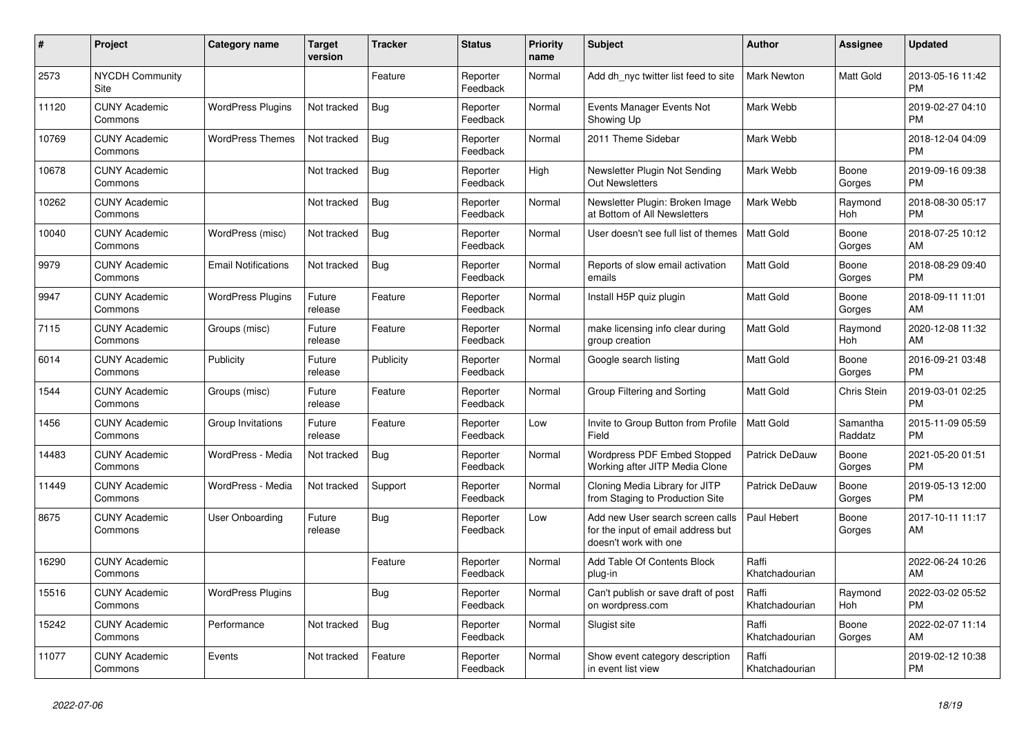| #     | Project                         | <b>Category name</b>       | <b>Target</b><br>version | <b>Tracker</b> | <b>Status</b>        | <b>Priority</b><br>name | <b>Subject</b>                                                                                  | <b>Author</b>           | Assignee            | <b>Updated</b>                |
|-------|---------------------------------|----------------------------|--------------------------|----------------|----------------------|-------------------------|-------------------------------------------------------------------------------------------------|-------------------------|---------------------|-------------------------------|
| 2573  | <b>NYCDH Community</b><br>Site  |                            |                          | Feature        | Reporter<br>Feedback | Normal                  | Add dh nyc twitter list feed to site                                                            | <b>Mark Newton</b>      | Matt Gold           | 2013-05-16 11:42<br><b>PM</b> |
| 11120 | <b>CUNY Academic</b><br>Commons | <b>WordPress Plugins</b>   | Not tracked              | Bug            | Reporter<br>Feedback | Normal                  | Events Manager Events Not<br>Showing Up                                                         | Mark Webb               |                     | 2019-02-27 04:10<br><b>PM</b> |
| 10769 | <b>CUNY Academic</b><br>Commons | <b>WordPress Themes</b>    | Not tracked              | <b>Bug</b>     | Reporter<br>Feedback | Normal                  | 2011 Theme Sidebar                                                                              | Mark Webb               |                     | 2018-12-04 04:09<br><b>PM</b> |
| 10678 | <b>CUNY Academic</b><br>Commons |                            | Not tracked              | <b>Bug</b>     | Reporter<br>Feedback | High                    | Newsletter Plugin Not Sending<br><b>Out Newsletters</b>                                         | Mark Webb               | Boone<br>Gorges     | 2019-09-16 09:38<br><b>PM</b> |
| 10262 | <b>CUNY Academic</b><br>Commons |                            | Not tracked              | Bug            | Reporter<br>Feedback | Normal                  | Newsletter Plugin: Broken Image<br>at Bottom of All Newsletters                                 | Mark Webb               | Raymond<br>Hoh      | 2018-08-30 05:17<br><b>PM</b> |
| 10040 | <b>CUNY Academic</b><br>Commons | WordPress (misc)           | Not tracked              | <b>Bug</b>     | Reporter<br>Feedback | Normal                  | User doesn't see full list of themes                                                            | <b>Matt Gold</b>        | Boone<br>Gorges     | 2018-07-25 10:12<br><b>AM</b> |
| 9979  | <b>CUNY Academic</b><br>Commons | <b>Email Notifications</b> | Not tracked              | Bug            | Reporter<br>Feedback | Normal                  | Reports of slow email activation<br>emails                                                      | <b>Matt Gold</b>        | Boone<br>Gorges     | 2018-08-29 09:40<br><b>PM</b> |
| 9947  | <b>CUNY Academic</b><br>Commons | <b>WordPress Plugins</b>   | Future<br>release        | Feature        | Reporter<br>Feedback | Normal                  | Install H5P quiz plugin                                                                         | <b>Matt Gold</b>        | Boone<br>Gorges     | 2018-09-11 11:01<br>AM        |
| 7115  | <b>CUNY Academic</b><br>Commons | Groups (misc)              | Future<br>release        | Feature        | Reporter<br>Feedback | Normal                  | make licensing info clear during<br>group creation                                              | <b>Matt Gold</b>        | Raymond<br>Hoh      | 2020-12-08 11:32<br>AM        |
| 6014  | <b>CUNY Academic</b><br>Commons | Publicity                  | Future<br>release        | Publicity      | Reporter<br>Feedback | Normal                  | Google search listing                                                                           | <b>Matt Gold</b>        | Boone<br>Gorges     | 2016-09-21 03:48<br><b>PM</b> |
| 1544  | <b>CUNY Academic</b><br>Commons | Groups (misc)              | Future<br>release        | Feature        | Reporter<br>Feedback | Normal                  | Group Filtering and Sorting                                                                     | <b>Matt Gold</b>        | Chris Stein         | 2019-03-01 02:25<br><b>PM</b> |
| 1456  | <b>CUNY Academic</b><br>Commons | Group Invitations          | Future<br>release        | Feature        | Reporter<br>Feedback | Low                     | Invite to Group Button from Profile<br>Field                                                    | <b>Matt Gold</b>        | Samantha<br>Raddatz | 2015-11-09 05:59<br><b>PM</b> |
| 14483 | <b>CUNY Academic</b><br>Commons | WordPress - Media          | Not tracked              | <b>Bug</b>     | Reporter<br>Feedback | Normal                  | Wordpress PDF Embed Stopped<br>Working after JITP Media Clone                                   | Patrick DeDauw          | Boone<br>Gorges     | 2021-05-20 01:51<br><b>PM</b> |
| 11449 | <b>CUNY Academic</b><br>Commons | WordPress - Media          | Not tracked              | Support        | Reporter<br>Feedback | Normal                  | Cloning Media Library for JITP<br>from Staging to Production Site                               | <b>Patrick DeDauw</b>   | Boone<br>Gorges     | 2019-05-13 12:00<br><b>PM</b> |
| 8675  | <b>CUNY Academic</b><br>Commons | User Onboarding            | Future<br>release        | Bug            | Reporter<br>Feedback | Low                     | Add new User search screen calls<br>for the input of email address but<br>doesn't work with one | Paul Hebert             | Boone<br>Gorges     | 2017-10-11 11:17<br>AM        |
| 16290 | <b>CUNY Academic</b><br>Commons |                            |                          | Feature        | Reporter<br>Feedback | Normal                  | Add Table Of Contents Block<br>plug-in                                                          | Raffi<br>Khatchadourian |                     | 2022-06-24 10:26<br>AM        |
| 15516 | <b>CUNY Academic</b><br>Commons | <b>WordPress Plugins</b>   |                          | Bug            | Reporter<br>Feedback | Normal                  | Can't publish or save draft of post<br>on wordpress.com                                         | Raffi<br>Khatchadourian | Raymond<br>Hoh      | 2022-03-02 05:52<br><b>PM</b> |
| 15242 | <b>CUNY Academic</b><br>Commons | Performance                | Not tracked              | <b>Bug</b>     | Reporter<br>Feedback | Normal                  | Slugist site                                                                                    | Raffi<br>Khatchadourian | Boone<br>Gorges     | 2022-02-07 11:14<br>AM        |
| 11077 | <b>CUNY Academic</b><br>Commons | Events                     | Not tracked              | Feature        | Reporter<br>Feedback | Normal                  | Show event category description<br>in event list view                                           | Raffi<br>Khatchadourian |                     | 2019-02-12 10:38<br><b>PM</b> |